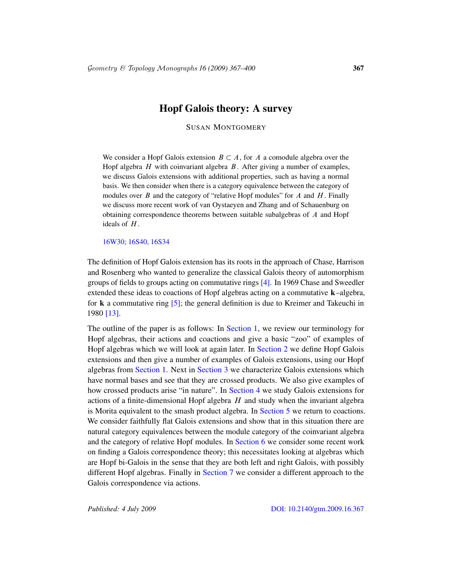## Hopf Galois theory: A survey

SUSAN MONTGOMERY

We consider a Hopf Galois extension  $B \subset A$ , for A a comodule algebra over the Hopf algebra  $H$  with coinvariant algebra  $B$ . After giving a number of examples, we discuss Galois extensions with additional properties, such as having a normal basis. We then consider when there is a category equivalence between the category of modules over  $B$  and the category of "relative Hopf modules" for  $A$  and  $H$ . Finally we discuss more recent work of van Oystaeyen and Zhang and of Schauenburg on obtaining correspondence theorems between suitable subalgebras of A and Hopf ideals of  $H$ .

16W30; 16S40, 16S34

The definition of Hopf Galois extension has its roots in the approach of Chase, Harrison and Rosenberg who wanted to generalize the classical Galois theory of automorphism groups of fields to [groups acti](#page-1-0)ng on commutative rings [4]. In 1969 Chase and Sweedler extended these ideas to coactions of Hopf algebras acting on a commutative  $\mathbf{k}$ –algebra, for **k** a commutative ring  $[5]$ ; the general definition is due to Kreimer and Takeuchi in [1](#page-1-0)980 [13[\].](#page-11-0)

The outline of the paper is as follows: In Section 1, we review our terminology for Hopf algebras, th[eir actions](#page-16-0) and coactions and give a basic "zoo" of examples of Hopf algebras which we will look at again later. In Section 2 we define Hopf Galois extensions and then give a n[umber of e](#page-20-0)xamples of Galois extensions, using our Hopf algebras from Section 1. Next in Section 3 we characterize Galois extensions which have normal bases and see that they are crossed products. We also give examples of how crossed produc[ts arise "in](#page-24-0) nature". In Section 4 we study Galois extensions for actions of a finite-dimensional Hopf algebra  $H$  and study when the invariant algebra is Morita equivalent to the smash product algebra. In Section 5 we return to coactions. We consid[er faithfull](#page-29-0)y flat Galois extensions and show that in this situation there are natural category equivalences between the module category of the coinvariant algebra and the category of relative Hopf modules. In Section 6 we consider some recent work on finding a Galois correspondence theory; this necessitates looking at algebras which are Hopf bi-Galois in the sense [that they are both left and rig](http://dx.doi.org/10.2140/gtm.2009.16.367)ht Galois, with possibly different Hopf algebras. Finally in Section 7 we consider a different approach to the Galois correspondence via actions.

*Published: 4 July 2009* DOI: 10.2140/gtm.2009.16.367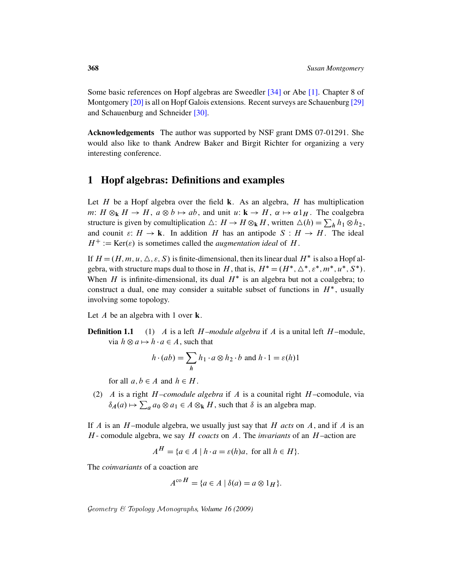Some basic references on Hopf algebras are Sweedler [34] or Abe [1]. Chapter 8 of Montgomery [20] is all on Hopf Galois extensions. Recent surveys are Schauenburg [29] and Schauenburg and Schneider [30].

<span id="page-1-0"></span>Acknowledgements The author was supported by NSF grant DMS 07-01291. She would also like to thank Andrew Baker and Birgit Richter for organizing a very interesting conference.

# 1 Hopf algebras: Definitions and examples

Let  $H$  be a Hopf algebra over the field **k**. As an algebra,  $H$  has multiplication m:  $H \otimes_k H \to H$ ,  $a \otimes b \mapsto ab$ , and unit  $u: \mathbf{k} \to H$ ,  $\alpha \mapsto \alpha \mathbf{1}_H$ . The coalgebra structure is given by comultiplication  $\triangle: H \to H \otimes_{\bf k} H$ , written  $\triangle(h) = \sum_h h_1 \otimes h_2$ , and counit  $\varepsilon: H \to \mathbf{k}$ . In addition H has an antipode  $S: H \to H$ . The ideal  $H^+ := \text{Ker}(\varepsilon)$  is sometimes called the *augmentation ideal* of H.

If  $H = (H, m, u, \triangle, \varepsilon, S)$  is finite-dimensional, then its linear dual  $H^*$  is also a Hopf algebra, with structure maps dual to those in H, that is,  $H^* = (H^*, \triangle^*, \varepsilon^*, m^*, u^*, S^*)$ . When H is infinite-dimensional, its dual  $H^*$  is an algebra but not a coalgebra; to construct a dual, one may consider a suitable subset of functions in  $H^*$ , usually involving some topology.

Let  $A$  be an algebra with 1 over  $\bf{k}$ .

**Definition 1.1** (1) A is a left  $H$ *–module algebra* if A is a unital left  $H$ –module, via  $h \otimes a \mapsto h \cdot a \in A$ , such that

$$
h \cdot (ab) = \sum_{h} h_1 \cdot a \otimes h_2 \cdot b \text{ and } h \cdot 1 = \varepsilon(h)1
$$

for all  $a, b \in A$  and  $h \in H$ .

(2) A is a right  $H$ *–comodule algebra* if A is a counital right  $H$ –comodule, via  $\delta_A(a) \mapsto \sum_a a_0 \otimes a_1 \in A \otimes_k H$ , such that  $\delta$  is an algebra map.

If  $A$  is an  $H$ -module algebra, we usually just say that  $H$  *acts* on  $A$ , and if  $A$  is an H - comodule algebra, we say H *coacts* on A. The *invariants* of an H –action are

$$
A^H = \{ a \in A \mid h \cdot a = \varepsilon(h)a, \text{ for all } h \in H \}.
$$

The *coinvariants* of a coaction are

$$
A^{\rm co\,}H = \{a \in A \mid \delta(a) = a \otimes 1_H\}.
$$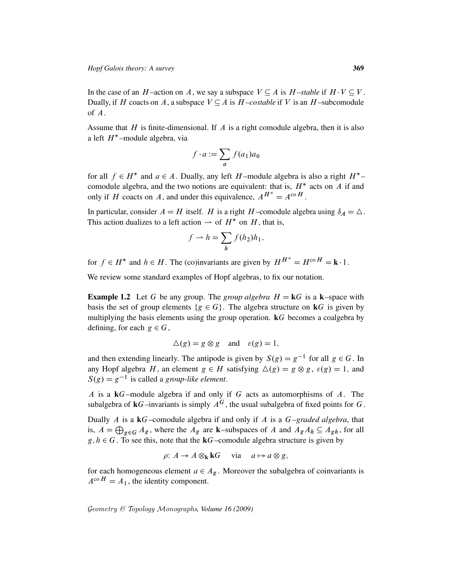In the case of an H-action on A, we say a subspace  $V \subseteq A$  is H-stable if  $H \cdot V \subseteq V$ . Dually, if H coacts on A, a subspace  $V \subseteq A$  is  $H$ *–costable* if V is an H–subcomodule of A.

Assume that  $H$  is finite-dimensional. If  $A$  is a right comodule algebra, then it is also a left  $H^*$ -module algebra, via

$$
f \cdot a := \sum_{a} f(a_1) a_0
$$

for all  $f \in H^*$  and  $a \in A$ . Dually, any left H-module algebra is also a right  $H^*$ comodule algebra, and the two notions are equivalent: that is,  $H^*$  acts on  $\tilde{A}$  if and only if H coacts on A, and under this equivalence,  $A^{H^*} = A^{\text{co }H}$ .

In particular, consider  $A = H$  itself. H is a right H-comodule algebra using  $\delta_A = \Delta$ . This action dualizes to a left action  $\rightarrow$  of  $H^*$  on H, that is,

$$
f \rightharpoonup h = \sum_{h} f(h_2) h_1,
$$

for  $f \in H^*$  and  $h \in H$ . The (co)invariants are given by  $H^{H^*} = H^{co} H = \mathbf{k} \cdot 1$ .

We review some standard examples of Hopf algebras, to fix our notation.

**Example 1.2** Let G be any group. The *group algebra*  $H = kG$  is a k–space with basis the set of group elements  $\{g \in G\}$ . The algebra structure on **k**G is given by multiplying the basis elements using the group operation. kG becomes a coalgebra by defining, for each  $g \in G$ ,

$$
\Delta(g) = g \otimes g \quad \text{and} \quad \varepsilon(g) = 1,
$$

and then extending linearly. The antipode is given by  $S(g) = g^{-1}$  for all  $g \in G$ . In any Hopf algebra H, an element  $g \in H$  satisfying  $\Delta(g) = g \otimes g$ ,  $\varepsilon(g) = 1$ , and  $S(g) = g^{-1}$  is called a *group-like element*.

A is a  $kG$ -module algebra if and only if G acts as automorphisms of A. The subalgebra of  $kG$ –invariants is simply  $A^G$ , the usual subalgebra of fixed points for G.

Dually A is a kG–comodule algebra if and only if A is a G*–graded algebra*, that is,  $A = \bigoplus_{g \in G} A_g$ , where the  $A_g$  are k–subspaces of A and  $A_g A_h \subseteq A_{gh}$ , for all  $g, h \in G$ . To see this, note that the **k**G–comodule algebra structure is given by

$$
\rho: A \to A \otimes_{\mathbf{k}} \mathbf{k}G \quad \text{via} \quad a \mapsto a \otimes g,
$$

for each homogeneous element  $a \in A_{\varrho}$ . Moreover the subalgebra of coinvariants is  $A^{\rm co\,}H = A_1$ , the identity component.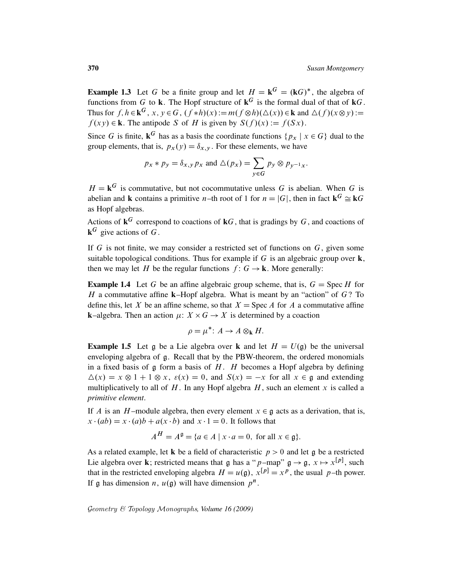**Example 1.3** Let G be a finite group and let  $H = \mathbf{k}^G = (\mathbf{k}G)^*$ , the algebra of functions from G to k. The Hopf structure of  $k^G$  is the formal dual of that of  $kG$ . Thus for  $f, h \in \mathbf{k}^G$ ,  $x, y \in G$ ,  $(f * h)(x) := m(f \otimes h)(\Delta(x)) \in \mathbf{k}$  and  $\Delta(f)(x \otimes y) :=$  $f(xy) \in \mathbf{k}$ . The antipode S of H is given by  $S(f)(x) := f(Sx)$ .

Since G is finite,  $\mathbf{k}^G$  has as a basis the coordinate functions  $\{p_x \mid x \in G\}$  dual to the group elements, that is,  $p_x(y) = \delta_{x,y}$ . For these elements, we have

$$
p_x * p_y = \delta_{x,y} p_x
$$
 and  $\Delta(p_x) = \sum_{y \in G} p_y \otimes p_{y^{-1}x}$ .

 $H = \mathbf{k}^G$  is commutative, but not cocommutative unless G is abelian. When G is abelian and **k** contains a primitive *n*-th root of 1 for  $n = |G|$ , then in fact  $k^G \cong kG$ as Hopf algebras.

Actions of  $\mathbf{k}^G$  correspond to coactions of  $\mathbf{k}G$ , that is gradings by G, and coactions of  ${\bf k}^G$  give actions of G.

If  $G$  is not finite, we may consider a restricted set of functions on  $G$ , given some suitable topological conditions. Thus for example if G is an algebraic group over  $\bf{k}$ , then we may let H be the regular functions  $f: G \to \mathbf{k}$ . More generally:

**Example 1.4** Let G be an affine algebraic group scheme, that is,  $G = \text{Spec } H$  for H a commutative affine **k**–Hopf algebra. What is meant by an "action" of  $G$ ? To define this, let X be an affine scheme, so that  $X = \text{Spec } A$  for A a commutative affine **k**–algebra. Then an action  $\mu$ :  $X \times G \rightarrow X$  is determined by a coaction

$$
\rho = \mu^* \colon A \to A \otimes_{\mathbf{k}} H.
$$

**Example 1.5** Let g be a Lie algebra over k and let  $H = U(g)$  be the universal enveloping algebra of g. Recall that by the PBW-theorem, the ordered monomials in a fixed basis of  $\frak g$  form a basis of  $H$ .  $H$  becomes a Hopf algebra by defining  $\Delta(x) = x \otimes 1 + 1 \otimes x$ ,  $\varepsilon(x) = 0$ , and  $S(x) = -x$  for all  $x \in \mathfrak{g}$  and extending multiplicatively to all of  $H$ . In any Hopf algebra  $H$ , such an element x is called a *primitive element*.

If A is an H-module algebra, then every element  $x \in \mathfrak{g}$  acts as a derivation, that is,  $x \cdot (ab) = x \cdot (a)b + a(x \cdot b)$  and  $x \cdot 1 = 0$ . It follows that

$$
A^H = A^{\mathfrak{g}} = \{ a \in A \mid x \cdot a = 0, \text{ for all } x \in \mathfrak{g} \}.
$$

As a related example, let **k** be a field of characteristic  $p > 0$  and let g be a restricted Lie algebra over **k**; restricted means that  $\mathfrak{g}$  has a "p-map"  $\mathfrak{g} \to \mathfrak{g}$ ,  $x \mapsto x^{[p]}$ , such that in the restricted enveloping algebra  $H = u(\mathfrak{g})$ ,  $x^{[p]} = x^p$ , the usual p-th power. If  $\mathfrak g$  has dimension  $n$ ,  $u(\mathfrak g)$  will have dimension  $p^n$ .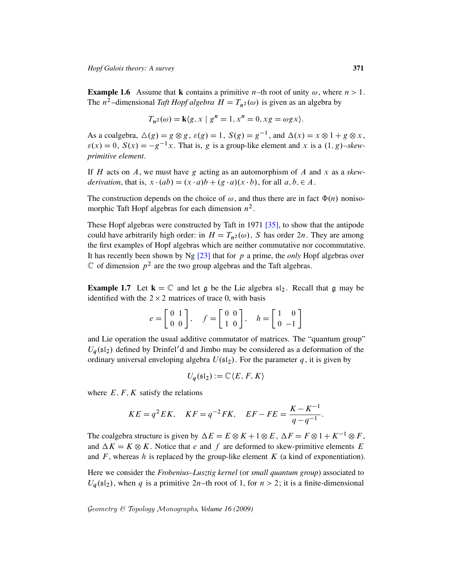<span id="page-4-0"></span>**Example 1.6** Assume that **k** contains a primitive *n*-th root of unity  $\omega$ , where  $n > 1$ . The  $n^2$ -dimensional *Taft Hopf algebra*  $H = T_{n^2}(\omega)$  is given as an algebra by

$$
T_{n^2}(\omega) = \mathbf{k}\langle g, x \mid g^n = 1, x^n = 0, xg = \omega gx \rangle.
$$

As a coalgebra,  $\Delta(g) = g \otimes g$ ,  $\varepsilon(g) = 1$ ,  $S(g) = g^{-1}$ , and  $\Delta(x) = x \otimes 1 + g \otimes x$ ,  $\varepsilon(x) = 0$ ,  $S(x) = -g^{-1}x$ . That is, g is a group-like element and x is a  $(1, g)$ -skew*primitive element*.

If H acts on A, we must have [g](#page-33-0) acting as an automorphism of A and x as a *skewderivation*, that is,  $x \cdot (ab) = (x \cdot a)b + (g \cdot a)(x \cdot b)$ , for all  $a, b \in A$ .

The construction depends on the choice of  $\omega$ , and thus there are in fact  $\Phi(n)$  noniso-morphic [Taft](#page-32-0) Hopf algebras for each dimension  $n^2$ .

<span id="page-4-1"></span>These Hopf algebras were constructed by Taft in 1971 [35], to show that the antipode could have arbitrarily high order: in  $H = T_{n^2}(\omega)$ , S has order 2n. They are among the first examples of Hopf algebras which are neither commutative nor cocommutative. It has recently been shown by Ng  $[23]$  that for p a prime, the *only* Hopf algebras over  $\mathbb C$  of dimension  $p^2$  are the two group algebras and the Taft algebras.

**Example 1.7** Let  $\mathbf{k} = \mathbb{C}$  and let g be the Lie algebra  $\mathfrak{sl}_2$ . Recall that g may be identified with the  $2 \times 2$  matrices of trace 0, with basis

$$
e = \begin{bmatrix} 0 & 1 \\ 0 & 0 \end{bmatrix}, \quad f = \begin{bmatrix} 0 & 0 \\ 1 & 0 \end{bmatrix}, \quad h = \begin{bmatrix} 1 & 0 \\ 0 & -1 \end{bmatrix}
$$

and Lie operation the usual additive commutator of matrices. The "quantum group"  $U<sub>a</sub>(s<sub>1</sub>)$  defined by Drinfel'd and Jimbo may be considered as a deformation of the ordinary universal enveloping algebra  $U(\mathfrak{sl}_2)$ . For the parameter q, it is given by

$$
U_q(\mathfrak{sl}_2):=\mathbb{C}\langle E,F,K\rangle
$$

where  $E, F, K$  satisfy the relations

$$
KE = q^2 EK, \quad KF = q^{-2} FK, \quad EF - FE = \frac{K - K^{-1}}{q - q^{-1}}.
$$

The coalgebra structure is given by  $\Delta E = E \otimes K + 1 \otimes E$ ,  $\Delta F = F \otimes 1 + K^{-1} \otimes F$ , and  $\Delta K = K \otimes K$ . Notice that e and f are deformed to skew-primitive elements E and  $F$ , whereas h is replaced by the group-like element  $K$  (a kind of exponentiation).

Here we consider the *Frobenius–Lusztig kernel* (or *small quantum group*) associated to  $U_q(\mathfrak{sl}_2)$ , when q is a primitive 2n–th root of 1, for  $n > 2$ ; it is a finite-dimensional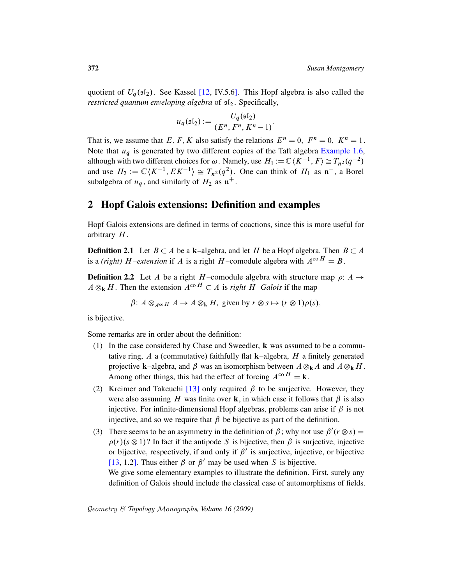quotient of  $U_q(\mathfrak{sl}_2)$ . See Kassel [12, IV.5.6]. This Hopf algebra is also called the *restricted quantum enveloping algebra* of  $sI_2$ . [Specifically,](#page-4-0)

$$
u_q(\mathfrak{sl}_2):=\frac{U_q(\mathfrak{sl}_2)}{(E^n,F^n,K^n-1)}.
$$

<span id="page-5-0"></span>That is, we assume that E, F, K also satisfy the relations  $E^n = 0$ ,  $F^n = 0$ ,  $K^n = 1$ . Note that  $u_q$  is generated by two different copies of the Taft algebra Example 1.6, although with two different choices for  $\omega$ . Namely, use  $H_1 := \mathbb{C} \langle K^{-1}, F \rangle \cong T_{n^2} (q^{-2})$ and use  $H_2 := \mathbb{C} \langle K^{-1}, E K^{-1} \rangle \cong T_{n^2}(q^2)$ . One can think of  $H_1$  as  $\mathfrak{n}^-$ , a Borel subalgebra of  $u_q$ , and similarly of  $H_2$  as  $n^+$ .

#### 2 Hopf Galois extensions: Definition and examples

<span id="page-5-1"></span>Hopf Galois extensions are defined in terms of coactions, since this is more useful for arbitrary  $H$ .

**Definition 2.1** Let  $B \subset A$  be a k–algebra, and let H be a Hopf algebra. Then  $B \subset A$ is a *(right)* H–extension if A is a right H–comodule algebra with  $A^{co H} = B$ .

**Definition 2.2** Let A be a right H-comodule algebra with structure map  $\rho$ : A  $\rightarrow$  $A \otimes_k H$ . Then the extension  $A^{co} H \subset A$  is *right*  $H$ -Galois if the map

 $\beta$ :  $A \otimes_{A^{co}H} A \rightarrow A \otimes_k H$ , given by  $r \otimes s \mapsto (r \otimes 1)\rho(s)$ ,

is bijective.

Some [rem](#page-31-0)arks are in order about the definition:

- (1) In the case considered by Chase and Sweedler, k was assumed to be a commutative ring,  $A$  a (commutative) faithfully flat  $k$ -algebra,  $H$  a finitely generated projective **k**–algebra, and  $\beta$  was an isomorphism between  $A \otimes_k A$  and  $A \otimes_k H$ . Among other things, this had the effect of forcing  $A^{\rm co} H = \mathbf{k}$ .
- (2) Kreimer and Takeuchi [13] only required  $\beta$  to be surjective. However, they were also assuming H was finite over **k**, in which case it follows that  $\beta$  is also injective. For infinite-dimensional Hopf algebras, problems can arise if  $\beta$  is not injective, and so we require that  $\beta$  be bijective as part of the definition.
- (3) There seems to be an asymmetry in the definition of  $\beta$ ; why not use  $\beta'(r \otimes s)$  =  $\rho(r)(s \otimes 1)$ ? In fact if the antipode S is bijective, then  $\beta$  is surjective, injective or bijective, respectively, if and only if  $\beta'$  is surjective, injective, or bijective [13, 1.2]. Thus either  $\beta$  or  $\beta'$  may be used when S is bijective. We give some elementary examples to illustrate the definition. First, surely any

definition of Galois should include the classical case of automorphisms of fields.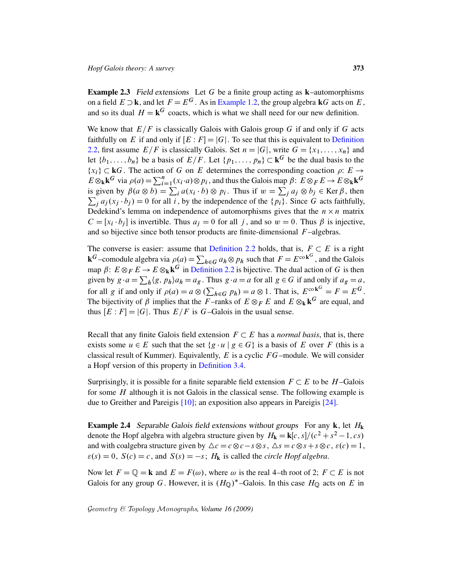<span id="page-6-0"></span>**Example 2.3** Field extensions Let G be a finite [group actin](#page-5-1)g as  $k$ –automorphisms on a field  $E \supset \mathbf{k}$ , and let  $F = E^G$ . As in Example 1.2, the group algebra  $\mathbf{k}G$  acts on E, and so its dual  $H = \mathbf{k}^G$  coacts, which is what we shall need for our new definition.

We know that  $E/F$  is classically Galois with Galois group G if and only if G acts faithfully on E if and only if  $[E: F] = |G|$ . To see that this is equivalent to Definition 2.2, first assume  $E/F$  is classically Galois. Set  $n = |G|$ , write  $G = \{x_1, \ldots, x_n\}$  and let  $\{b_1, \ldots, b_n\}$  be a basis of  $E/F$ . Let  $\{p_1, \ldots, p_n\} \subset \mathbf{k}^G$  be the dual basis to the  ${x_i} \subset kG$ . The action of G on E determines the corresponding coaction  $\rho: E \to$  $E \otimes_{\mathbf{k}} \mathbf{k}^G$  via  $\rho(a) = \sum_{i=1}^n (x_i \cdot a) \otimes p_i$ , and thus the Galois map  $\beta: E \otimes_F E \to E \otimes_{\mathbf{k}} \mathbf{k}^G$ is given by  $\beta(a \otimes b) = \sum_i a(x_i \cdot b) \otimes p_i$ . Thus if  $w = \sum_j a_j \otimes b_j \in \text{Ker}\,\beta$ , then  $\sum_j a_j(x_j \cdot b_j) = 0$  [for all](#page-5-1) i, by the independence of the  $\{p_i\}$ . Since G acts faithfully, Dedekind's lemma on independence of automorphisms gives that the  $n \times n$  matrix  $C = [x_i \cdot b_j]$  [is invert](#page-5-1)ible. Thus  $a_j = 0$  for all j, and so  $w = 0$ . Thus  $\beta$  is injective, and so bijective since both tensor products are finite-dimensional  $F$ -algebras.

The converse is easier: assume that Definition 2.2 holds, that is,  $F \subset E$  is a right **k**<sup>G</sup>-comodule algebra via  $\rho(a) = \sum_{h \in G} a_h \otimes p_h$  such that  $F = E^{\text{co}}^{k}$ , and the Galois map  $\beta: E \otimes_F E \to E \otimes_{\bf k} {\bf k}^G$  in Definition 2.2 is bijective. The dual action of G is then given by  $g \cdot a = \sum_h \langle g, p_h \rangle a_h = a_g$ . Thus  $g \cdot a = a$  for all  $g \in G$  if and only if  $a_g = a$ , for all g if and only if  $\rho(a) = a \otimes (\sum_{h \in G} p_h) = a \otimes 1$ . That is,  $E^{\text{co}}k^G = F = E^G$ . The bijectivity of  $\beta$  implies that the F-ranks of  $E \otimes_F E$  and  $E \otimes_{\mathbf{k}} \mathbf{k}^G$  are equal, and thus  $[E : F] = |G|$ [. Thu](#page-12-0)s  $E/F$  is G–Galois in the usual sense.

Recall that any finite Galois field extension  $F \subset E$  has a *normal basis*, that is, there exists some  $u \in E$  such that the set  $\{g \cdot u \mid g \in G\}$  is a basis of E over F (this is a class[ical](#page-31-1) result of Kummer). Equivalently,  $E$  is a [cycl](#page-32-1)ic  $FG$ –module. We will consider a Hopf version of this property in Definition 3.4.

Surprisingly, it is possible for a finite separable field extension  $F \subset E$  to be H-Galois for some H although it is not Galois in the classical sense. The following example is due to Greither and Pareigis [10]; an exposition also appears in Pareigis [24].

**Example 2.4** Separable Galois field extensions without groups For any  $k$ , let  $H_k$ denote the Hopf algebra with algebra structure given by  $H_{\mathbf{k}} = \mathbf{k}[c, s]/(c^2 + s^2 - 1, cs)$ and with coalgebra structure given by  $\Delta c = c \otimes c - s \otimes s$ ,  $\Delta s = c \otimes s + s \otimes c$ ,  $\varepsilon(c) = 1$ ,  $\varepsilon(s) = 0$ ,  $S(c) = c$ , and  $S(s) = -s$ ;  $H_k$  is called the *circle Hopf algebra*.

Now let  $F = \mathbb{Q} = \mathbf{k}$  and  $E = F(\omega)$ , where  $\omega$  is the real 4–th root of 2;  $F \subset E$  is not Galois for any group G. However, it is  $(H<sub>Q</sub>)^*$ -Galois. In this case  $H<sub>Q</sub>$  acts on E in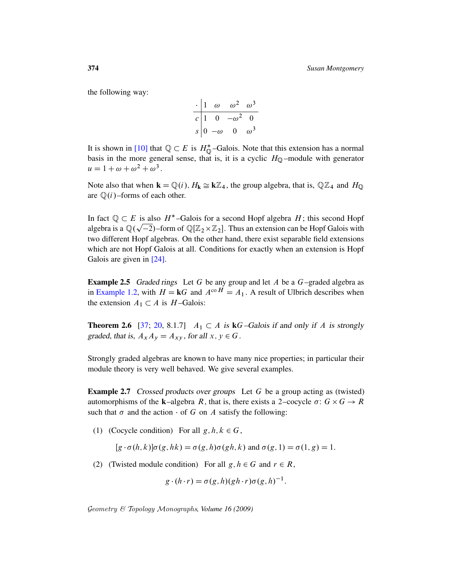the following way:

$$
\begin{array}{c|cc}\n\cdot & 1 & \omega & \omega^2 & \omega^3 \\
\hline\nc & 1 & 0 & -\omega^2 & 0 \\
s & 0 & -\omega & 0 & \omega^3\n\end{array}
$$

It is shown in [10] that  $\mathbb{Q} \subset E$  is  $H^*_{\mathbb{Q}}$ -Galois. Note that this extension has a normal basis in the more general sense, that is, it is a cyclic  $H<sub>Q</sub>$  –module with generator  $u = 1 + \omega + \omega^2 + \omega^3$ .

Note also that when  $\mathbf{k} = \mathbb{Q}(i)$ ,  $H_{\mathbf{k}} \cong \mathbf{k}\mathbb{Z}_4$ , the group algebra, that is,  $\mathbb{Q}\mathbb{Z}_4$  and  $H_{\mathbb{Q}}$ are  $\mathbb{Q}(i)$ –forms of each other.

In fact  $\mathbb{Q} \subset E$  is also  $H^*$ -Galois for a second Hopf algebra H; this second Hopf algebra is a  $\mathbb{Q}(\sqrt{-2})$ –form of  $\mathbb{Q}[\mathbb{Z}_2\times\mathbb{Z}_2]$ . Thus an extension can be Hopf Galois with two different Hopf algebras. On the other hand, there exist separable field extensions which are not Hopf Galois at all. Conditions for exactly when an extension is Hopf Galois are given in [24].

<span id="page-7-1"></span>**Example 2.5** Graded rings Let G be any group and let A be a  $G$ -graded algebra as in Example 1.2, with  $H = kG$  and  $A^{co} \overline{H} = A_1$ . A result of Ulbrich describes when the extension  $A_1 \subset A$  is  $H$ -Galois:

<span id="page-7-0"></span>**Theorem 2.6** [37; 20, 8.1.7]  $A_1 \subset A$  is  $kG$ -Galois if and only if A is strongly graded, that is,  $A_x A_y = A_{xy}$ , for all  $x, y \in G$ .

Strongly graded algebras are known to have many nice properties; in particular their module theory is very well behaved. We give several examples.

Example 2.7 Crossed products over groups Let G be a group acting as (twisted) automorphisms of the **k**-algebra R, that is, there exists a 2-cocycle  $\sigma: G \times G \rightarrow R$ such that  $\sigma$  and the action  $\cdot$  of G on A satisfy the following:

(1) (Cocycle condition) For all  $g, h, k \in G$ ,

 $[g \cdot \sigma(h, k)] \sigma(g, hk) = \sigma(g, h) \sigma(gh, k)$  and  $\sigma(g, 1) = \sigma(1, g) = 1$ .

(2) (Twisted module condition) For all  $g, h \in G$  and  $r \in R$ ,

$$
g \cdot (h \cdot r) = \sigma(g, h)(gh \cdot r)\sigma(g, h)^{-1}.
$$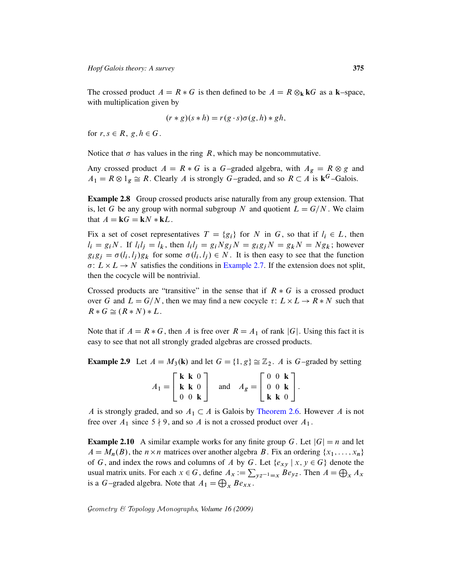The crossed product  $A = R * G$  is then defined to be  $A = R \otimes_{\mathbf{k}} kG$  as a **k**–space, with multiplication given by

$$
(r * g)(s * h) = r(g \cdot s)\sigma(g, h) * gh,
$$

<span id="page-8-0"></span>for  $r, s \in R$ ,  $g, h \in G$ .

Notice that  $\sigma$  has values in the ring R, which may be noncommutative.

Any crossed product  $A = R * G$  is a G–graded algebra, with  $A_g = R \otimes g$  and  $A_1 = R \otimes 1_g \cong R$ . Clearly A is strongly G–graded, and so  $R \subset A$  is  $\mathbf{k}^G$ –Galois.

Example 2.8 Group crossed products arise naturally from any group extension. That is, let G be any [group with no](#page-7-0)rmal subgroup N and quotient  $L = G/N$ . We claim that  $A = kG = kN * kL$ .

Fix a set of coset representatives  $T = \{g_i\}$  for N in G, so that if  $l_i \in L$ , then  $l_i = g_i N$ . If  $l_i l_j = l_k$ , then  $l_i l_j = g_i N g_j N = g_i g_j N = g_k N = N g_k$ ; however  $g_i g_j = \sigma(l_i, l_j) g_k$  for some  $\sigma(l_i, l_j) \in N$ . It is then easy to see that the function  $\sigma: L \times L \rightarrow N$  satisfies the conditions in Example 2.7. If the extension does not split, then the cocycle will be nontrivial.

Crossed products are "transitive" in the sense that if  $R * G$  is a crossed product over G and  $L = G/N$ , then we may find a new cocycle  $\tau: L \times L \rightarrow R*N$  such that  $R * G \cong (R * N) * L$ .

Note that if  $A = R * G$ , then A is free over  $R = A_1$  of rank |G|. Using this fact it is easy to see that not all strongly graded algebras are crossed products.

**Example 2.9** Let  $A = M_3(k)$  [and let](#page-7-1)  $G = \{1, g\} \cong \mathbb{Z}_2$ . A is G–graded by setting

|                                                                   | $\mathbf{k} \mathbf{k}$ 0 |  |     |                                                            |                           | $0 \t 0 \t k$ ] |  |
|-------------------------------------------------------------------|---------------------------|--|-----|------------------------------------------------------------|---------------------------|-----------------|--|
| $A_1 = \begin{pmatrix} \mathbf{k} & \mathbf{k} & 0 \end{pmatrix}$ |                           |  | and | $A_g = \begin{pmatrix} 0 & 0 & \mathbf{k} \end{pmatrix}$ . |                           |                 |  |
|                                                                   | $0 \t 0 \t k$             |  |     |                                                            | $\mathbf{k} \mathbf{k}$ 0 |                 |  |

A is strongly graded, and so  $A_1 \subset A$  is Galois by Theorem 2.6. However A is not free over  $A_1$  since  $5 \nmid 9$ , and so A is not a crossed product over  $A_1$ .

**Example 2.10** A similar example works for any finite group G. Let  $|G| = n$  and let  $A = M_n(B)$ , the  $n \times n$  matrices over another algebra B. Fix an ordering  $\{x_1, \ldots, x_n\}$ of G, and index the rows and columns of A by G. Let  $\{e_{xy} \mid x, y \in G\}$  denote the usual matrix units. For each  $x \in G$ , define  $A_x := \sum_{y} z_{y} = x B e_{y}$ . Then  $A = \bigoplus_{x} A_x$ is a *G*-graded algebra. Note that  $A_1 = \bigoplus_x B e_{xx}$ .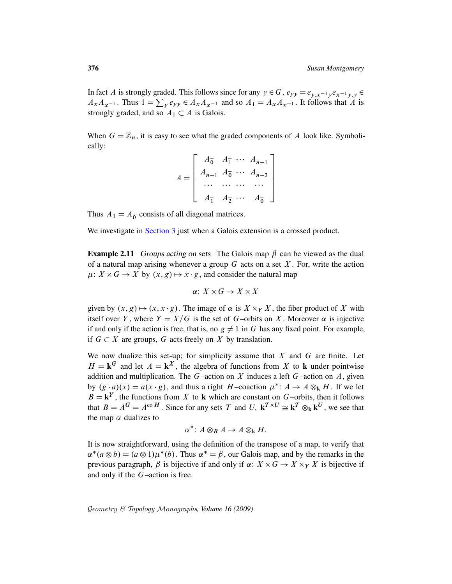In fact A is strongly graded. This follows since for any  $y \in G$ ,  $e_{yy} = e_{y,x^{-1}y}e_{x^{-1}y,y} \in G$  $A_x A_{x-1}$ . Thus  $1 = \sum_y e_{yy} \in A_x A_{x-1}$  and so  $A_1 = A_x A_{x-1}$ . It follows that A is strongly graded, and so  $A_1 \subset A$  is Galois.

When  $G = \mathbb{Z}_n$ , it is easy to see what the graded components of A look like. Symbolically:

$$
A = \begin{bmatrix} A_{0}^{-} & A_{1}^{-} & \cdots & A_{n-1}^{-} \\ A_{n-1}^{-} & A_{0}^{-} & \cdots & A_{n-2}^{-} \\ \cdots & \cdots & \cdots & \cdots \\ A_{1}^{-} & A_{2}^{-} & \cdots & A_{0}^{-} \end{bmatrix}
$$

<span id="page-9-0"></span>Thus  $A_1 = A_0$  consists of all diagonal matrices.

We investigate in Section 3 just when a Galois extension is a crossed product.

**Example 2.11** Groups acting on sets The Galois map  $\beta$  can be viewed as the dual of a natural map arising whenever a group  $G$  acts on a set  $X$ . For, write the action  $\mu: X \times G \to X$  by  $(x, g) \mapsto x \cdot g$ , and consider the natural map

$$
\alpha\colon X\times G\to X\times X
$$

given by  $(x, g) \mapsto (x, x \cdot g)$ . The image of  $\alpha$  is  $X \times_Y X$ , the fiber product of X with itself over Y, where  $Y = X/G$  is the set of G–orbits on X. Moreover  $\alpha$  is injective if and only if the action is free, that is, no  $g \neq 1$  in G has any fixed point. For example, if  $G \subset X$  are groups, G acts freely on X by translation.

We now dualize this set-up; for simplicity assume that  $X$  and  $G$  are finite. Let  $H = \mathbf{k}^G$  and let  $A = \mathbf{k}^X$ , the algebra of functions from X to k under pointwise addition and multiplication. The  $G$ -action on  $X$  induces a left  $G$ -action on  $A$ , given by  $(g \cdot a)(x) = a(x \cdot g)$ , and thus a right H-coaction  $\mu^* : A \to A \otimes_k H$ . If we let  $B = \mathbf{k}^{Y}$ , the functions from X to k which are constant on G–orbits, then it follows that  $B = A^G = A^{\text{co }H}$ . Since for any sets T and U,  $\mathbf{k}^{T \times U} \cong \mathbf{k}^T \otimes_{\mathbf{k}} \mathbf{k}^U$ , we see that the map  $\alpha$  dualizes to

$$
\alpha^*\colon A\otimes_B A\to A\otimes_{\mathbf{k}} H.
$$

It is now straightforward, using the definition of the transpose of a map, to verify that  $\alpha^*(a \otimes b) = (a \otimes 1)\mu^*(b)$ . Thus  $\alpha^* = \beta$ , our Galois map, and by the remarks in the previous paragraph,  $\beta$  is bijective if and only if  $\alpha: X \times G \to X \times_Y X$  is bijective if and only if the G–action is free.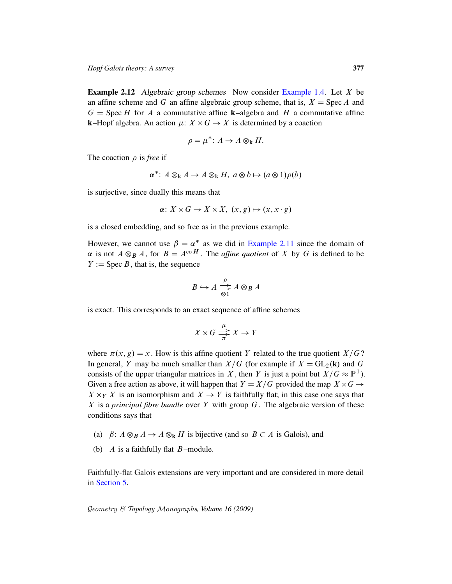<span id="page-10-0"></span>**Example 2.12** Algebraic group schemes Now consider Example 1.4. Let  $X$  be an affine scheme and G an affine algebraic group scheme, that is,  $X = \text{Spec } A$  and  $G =$  Spec H for A a commutative affine k–algebra and H a commutative affine **k**–Hopf algebra. An action  $\mu$ :  $X \times G \rightarrow X$  is determined by a coaction

$$
\rho = \mu^* \colon A \to A \otimes_{\mathbf{k}} H.
$$

The coaction  $\rho$  is *free* if

$$
\alpha^* \colon A \otimes_{\mathbf{k}} A \to A \otimes_{\mathbf{k}} H, \ a \otimes b \mapsto (a \otimes 1)\rho(b)
$$

is surjective, since duall[y this means tha](#page-9-0)t

$$
\alpha: X \times G \to X \times X, \ (x, g) \mapsto (x, x \cdot g)
$$

is a closed embedding, and so free as in the previous example.

However, we cannot use  $\beta = \alpha^*$  as we did in Example 2.11 since the domain of  $\alpha$  is not  $A \otimes_B A$ , for  $B = A^{co H}$ . The *affine quotient* of X by G is defined to be  $Y := \text{Spec } B$ , that is, the sequence

$$
B \hookrightarrow A \xrightarrow{\rho} A \otimes_B A
$$

is exact. This corresponds to an exact sequence of affine schemes

$$
X \times G \xrightarrow{\mu} X \to Y
$$

where  $\pi(x, g) = x$ . How is this affine quotient Y related to the true quotient  $X/G$ ? In general, Y may be much smaller than  $X/G$  (for example if  $X = GL_2(k)$  and G consists of the upper triangular matrices in X, then Y is just a point but  $X/G \approx \mathbb{P}^1$ ). Given a free action as above, it will happen that  $Y = X/G$  provided the map  $X \times G \rightarrow$  $X \times_Y X$  is an isomorphism and  $X \to Y$  is faithfully flat; in this case one says that X is a *principal fibre bundle* over Y with group G. The algebraic version of these conditions says that

- (a)  $\beta: A \otimes_B A \rightarrow A \otimes_k H$  is bijective (and so  $B \subset A$  is Galois), and
- (b)  $A$  is a faithfully flat  $B$ -module.

<span id="page-10-1"></span>Faithfully-flat Galois extensions are very important and are considered in more detail in Section 5.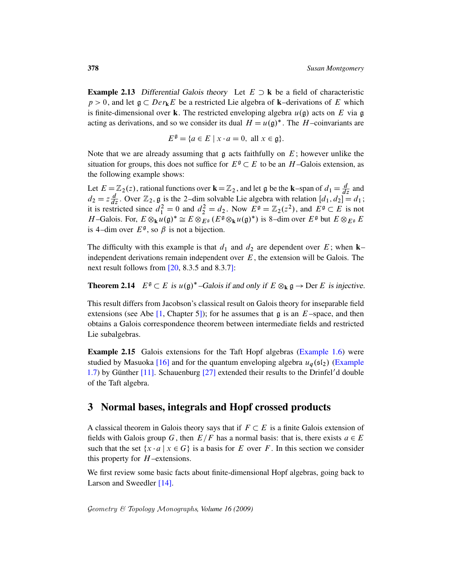**Example 2.13** Differential Galois theory Let  $E \supset \mathbf{k}$  be a field of characteristic  $p > 0$ , and let  $\mathfrak{g} \subset Der_{\mathbf{k}}E$  be a restricted Lie algebra of  $\mathbf{k}$ –derivations of E which is finite-dimensional over k. The restricted enveloping algebra  $u(\mathfrak{g})$  acts on E via g acting as derivations, and so we consider its dual  $H = u(\mathfrak{g})^*$ . The  $H$ -coinvariants are

$$
E^{\mathfrak{g}} = \{ a \in E \mid x \cdot a = 0, \text{ all } x \in \mathfrak{g} \}.
$$

Note that we are already assuming that  $\frak g$  acts faithfully on  $E$ ; however unlike the situation for groups, this does not suffice for  $E^{\mathfrak{g}} \subset E$  to be an H-Galois extension, as the following example shows:

Let  $E = \mathbb{Z}_2(z)$ , rational functions over  $\mathbf{k} = \mathbb{Z}_2$ , and let g be the **k**–span of  $d_1 = \frac{d}{dz}$  and  $d_2 = z \frac{d}{dz}$ . Over  $\mathbb{Z}_2$ , g is the 2-dim solvable Lie algebra with relation  $[d_1, d_2] = d_1$ ; it is restricted since  $d_1^2 = 0$  and  $d_2^2 = d_2$ . Now  $E^{\mathfrak{g}} = \mathbb{Z}_2(z^2)$ , and  $E^{\mathfrak{g}} \subset E$  is not H-Galois. For,  $E \otimes_{\mathbf{k}} u(\mathfrak{g})^* \cong E \otimes_{E^{\mathfrak{g}}}^{\mathfrak{g}} (E^{\mathfrak{g}} \otimes_{\mathbf{k}} u(\mathfrak{g})^*)$  is 8-dim over  $E^{\mathfrak{g}}$  but  $E \otimes_{E^{\mathfrak{g}}} E$ is 4-dim over  $E^{\mathfrak{g}}$ , so  $\beta$  is not a bijection.

The difficulty with this example is that  $d_1$  and  $d_2$  are dependent over E; when k– independent derivations remain independent over  $E$ , the extension will be Galois. The next result follows from [20, 8.3.5 and 8.3.7]:

**Theorem 2.14**  $E^{\mathfrak{g}} \subset E$  is  $u(\mathfrak{g})^*$ -Galois if and only if  $E \otimes_{k} \mathfrak{g} \to \text{Der } E$  is injective.

This result differs from Jacobson's classic[al result on Ga](#page-4-0)lois theory for inseparable field [e](#page-31-2)xtensions (see Abe  $[1,$  Chapter 5]); for he assum[es that](#page-4-1) g is an  $E$ –space, and then obtains a [Galo](#page-32-3)is correspondence theorem between intermediate fields and restricted Lie subalgebras.

<span id="page-11-0"></span>Example 2.15 Galois extensions for the Taft Hopf algebras (Example 1.6) were studied by Masuoka [16] and for the quantum enveloping algebra  $u_a$  ( $\epsilon_1$ ) (Example 1.7) by Günther  $[11]$ . Schauenburg  $[27]$  extended their results to the Drinfel'd double of the Taft algebra.

### 3 Normal bases, integrals and Hopf crossed products

[A](#page-31-3) classical theorem in Galois theory says that if  $F \subset E$  is a finite Galois extension of fields with Galois group G, then  $E/F$  has a normal basis: that is, there exists  $a \in E$ such that the set  $\{x \cdot a \mid x \in G\}$  is a basis for E over F. In this section we consider this property for  $H$ -extensions.

We first review some basic facts about finite-dimensional Hopf algebras, going back to Larson and Sweedler [14].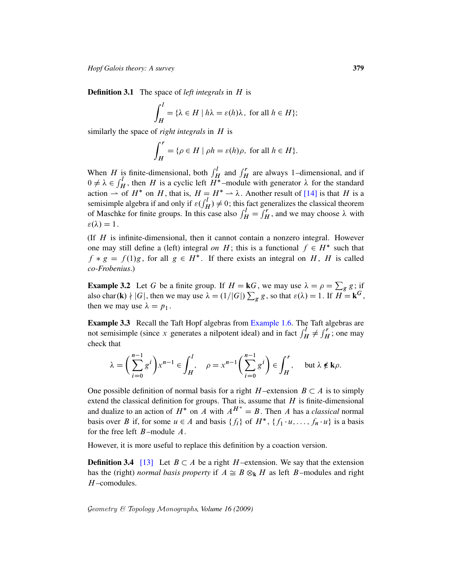Definition 3.1 The space of *left integrals* in H is

$$
\int_H^l = \{ \lambda \in H \mid h\lambda = \varepsilon(h)\lambda, \text{ for all } h \in H \};
$$

similarly the space of *right integrals* in H is

$$
\int_H^r = \{ \rho \in H \mid \rho h = \varepsilon(h)\rho, \text{ for all } h \in H \}.
$$

When H is finite-dimensional, both  $\int_H^l$  and  $\int_H^r$  are always 1–dimensional, and if  $0 \neq \lambda \in \int_H^l$ , then H is a cyclic left  $H^*$ -module with generator  $\lambda$  for the standard action  $\rightarrow$  of  $H^*$  on H, that is,  $H = H^* \rightarrow \lambda$ . Another result of [14] is that H is a semisimple algebra if and only if  $\varepsilon(\int_H^l) \neq 0$ ; this fact generalizes the classical theorem of Maschke for finite groups. In this case also  $\int_H^l = \int_H^r$ , and we may choose  $\lambda$  with  $\varepsilon(\lambda) = 1$ .

(If  $H$  is infinite-dimensional, then it cannot contain a nonzero integral. However one may still define a (left) integral *on* H; this is a functional  $f \in H^*$  such that  $f * g = f(1)g$ , for all  $g \in H^*$ . If there exists an integral on H, H is called *co-Frobenius*.)

**Example 3.2** Let G be a finite group. If  $H = kG$ , we may use  $\lambda = \rho = \sum_{g} g$ ; if also char(k)  $\nmid |G|$ , then we may use  $\lambda = (1/|G|) \sum_{g} g$ , so that  $\varepsilon(\lambda) = 1$ . If  $H = \mathbf{k}^{G}$ , then we may use  $\lambda = p_1$ .

Example 3.3 Recall the Taft Hopf algebras from Example 1.6. The Taft algebras are not semisimple (since x generates a nilpotent ideal) and in fact  $\int_H^l \neq \int_H^r$ ; one may check that

$$
\lambda = \left(\sum_{i=0}^{n-1} g^i\right) x^{n-1} \in \int_H^l, \quad \rho = x^{n-1} \left(\sum_{i=0}^{n-1} g^i\right) \in \int_H^r, \quad \text{but } \lambda \notin \mathbf{k}\rho.
$$

<span id="page-12-0"></span>One possible definition of normal basis for a right  $H$ -extension  $B \subset A$  is to simply extend the classical definition for groups. That is, assume that  $H$  is finite-dimensional and dualize to an action of  $H^*$  on A with  $A^{H^*} = B$ . Then A has a *classical* normal basis over B if, for some  $u \in A$  and basis  $\{f_i\}$  of  $H^*$ ,  $\{f_1 \cdot u, \ldots, f_n \cdot u\}$  is a basis for the free left  $B$ –module  $A$ .

However, it is more useful to replace this definition by a coaction version.

**Definition 3.4** [13] Let  $B \subset A$  be a right H-extension. We say that the extension has the (right) *normal basis property* if  $A \cong B \otimes_k H$  as left B–modules and right H –comodules.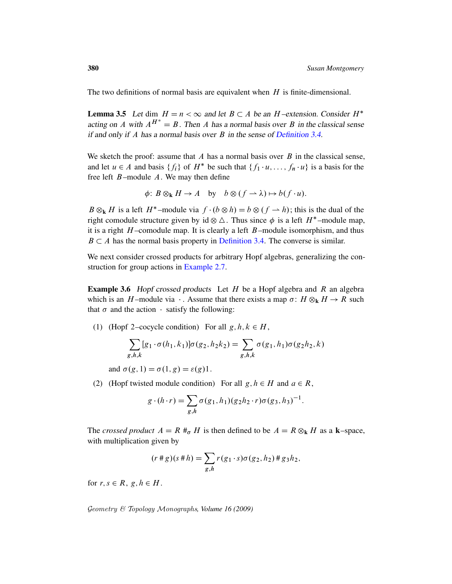<span id="page-13-0"></span>The two definitions of normal ba[sis are equivale](#page-12-0)nt when  $H$  is finite-dimensional.

**Lemma 3.5** Let dim  $H = n < \infty$  and let  $B \subset A$  be an H-extension. Consider  $H^*$ acting on A with  $A^{H^*} = B$ . Then A has a normal basis over B in the classical sense if and only if A has a normal basis over  $B$  in the sense of Definition 3.4.

We sketch the proof: assume that  $A$  has a normal basis over  $B$  in the classical sense, and let  $u \in A$  and basis  $\{f_i\}$  of  $H^*$  be such that  $\{f_1 \cdot u, \ldots, f_n \cdot u\}$  is a basis for the free left  $B$ -module  $A$ . We may then define

$$
\phi\colon B\otimes_{\mathbf{k}} H\to A\quad\text{by}\quad b\otimes (f\to\lambda)\mapsto b(f\cdot u).
$$

 $B \otimes_k H$  is a left  $H^*$ -module via  $f \cdot (b \otimes h) = b \otimes (f \rightarrow h)$ ; this is the dual of the right [comodule str](#page-7-0)ucture given by id  $\otimes \Delta$ . Thus since  $\phi$  is a left  $H^*$ -module map, it is a right  $H$ -comodule map. It is clearly a left  $B$ -module isomorphism, and thus  $B \subset A$  has the normal basis property in Definition 3.4. The converse is similar.

We next consider crossed products for arbitrary Hopf algebras, generalizing the construction for group actions in Example 2.7.

**Example 3.6** Hopf crossed products Let  $H$  be a Hopf algebra and  $R$  an algebra which is an H-module via  $\cdot$ . Assume that there exists a map  $\sigma: H \otimes_{\mathbf{k}} H \to R$  such that  $\sigma$  and the action  $\cdot$  satisfy the following:

(1) (Hopf 2–cocycle condition) For all  $g, h, k \in H$ ,

$$
\sum_{g,h,k} [g_1 \cdot \sigma(h_1, k_1)] \sigma(g_2, h_2 k_2) = \sum_{g,h,k} \sigma(g_1, h_1) \sigma(g_2 h_2, k)
$$

and  $\sigma(g, 1) = \sigma(1, g) = \varepsilon(g)1$ .

(2) (Hopf twisted module condition) For all  $g, h \in H$  and  $a \in R$ ,

$$
g \cdot (h \cdot r) = \sum_{g,h} \sigma(g_1, h_1)(g_2 h_2 \cdot r) \sigma(g_3, h_3)^{-1}.
$$

The *crossed product*  $A = R \#_{\sigma} H$  is then defined to be  $A = R \otimes_{\mathbf{k}} H$  as a **k**–space, with multiplication given by

$$
(r * g)(s * h) = \sum_{g,h} r(g_1 \cdot s) \sigma(g_2, h_2) * g_3 h_2,
$$

for  $r, s \in R$ ,  $g, h \in H$ .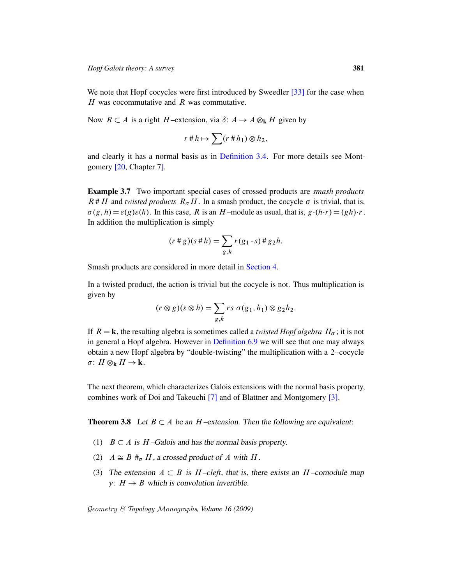We note that Hopf cocycles were first introduced by Sweedler [33] for the case when  $H$  was cocom[mutative and](#page-12-0)  $R$  was commutative.

<span id="page-14-1"></span>Now  $R \subset A$  is a right H-extension, via  $\delta: A \to A \otimes_k H$  given by

$$
r \n\# h \mapsto \sum (r \n\# h_1) \otimes h_2,
$$

and clearly it has a normal basis as in Definition 3.4. For more details see Montgomery [20, Chapter 7].

Example 3.7 Two important special cases of crossed products are *smash products*  $R#H$  and *twisted products*  $R_{\sigma}H$ . In a smash product, the cocycle  $\sigma$  is trivial, that is,  $\sigma(g, h) = \varepsilon(g)\varepsilon(h)$ . In this case, R is an H-module as usual, that is,  $g \cdot (h \cdot r) = (gh) \cdot r$ . In addition the multiplic[ation is sim](#page-16-0)ply

$$
(r * g)(s * h) = \sum_{g,h} r(g_1 \cdot s) * g_2 h.
$$

Smash products are considered in more detail in Section 4.

In a twisted p[roduct, the acti](#page-27-0)on is trivial but the cocycle is not. Thus multiplication is given by

$$
(r \otimes g)(s \otimes h) = \sum_{g,h} rs \sigma(g_1, h_1) \otimes g_2 h_2.
$$

<span id="page-14-0"></span>If  $R = \mathbf{k}$ , the resulting algebra is sometimes called a *twisted Hopf algebra*  $H_{\sigma}$ ; it is not in general a Hopf algebra. However in Definition 6.9 we will see that one may always obtain a new [H](#page-31-4)opf algebra by "double-twisting" t[he](#page-31-5) multiplication with a 2–cocycle  $\sigma: H \otimes_{\mathbf{k}} H \to \mathbf{k}.$ 

The next theorem, which characterizes Galois extensions with the normal basis property, combines work of Doi and Takeuchi [7] and of Blattner and Montgomery [3].

**Theorem 3.8** Let  $B \subset A$  be an H-extension. Then the following are equivalent:

- (1)  $B \subset A$  is H-Galois and has the normal basis property.
- (2)  $A \cong B \#_{\sigma} H$ , a crossed product of A with H.
- (3) The extension  $A \subset B$  is  $H$ -cleft, that is, there exists an  $H$ -comodule map  $\gamma$ :  $H \rightarrow B$  which is convolution invertible.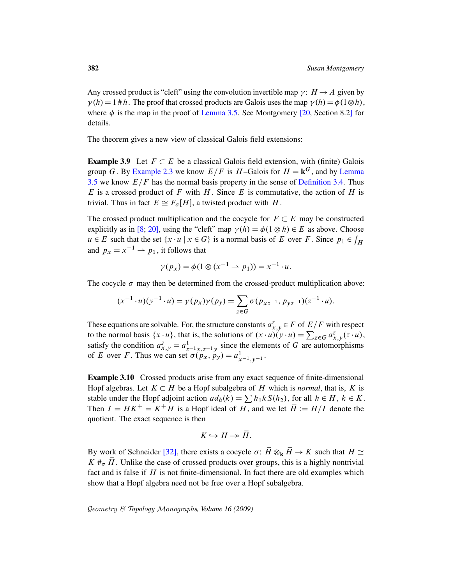Any crossed product is "cleft" using the convolution invertible map  $\gamma: H \to A$  given by  $\gamma(h) = 1 \# h$ . The proof that crossed products are Galois uses the map  $\gamma(h) = \phi(1 \otimes h)$ , where  $\phi$  is the map in the proof of Lemma 3.5. See [Montgom](#page-13-0)ery [20, Section 8.2] for [de](#page-6-0)tails.

The theorem gives a new view of classi[cal Galois field](#page-12-0) extensions:

**Example 3.9** Let  $F \subset E$  be a classical Galois field extension, with (finite) Galois group G. By Example 2.3 we know  $E/F$  is H-Galois for  $H = \mathbf{k}^G$ , and by Lemma 3.5 we know  $E/F$  has the normal basis property in the sense of Definition 3.4. Thus E is a crossed product of F with H. Since E is commutative, the action of H is trivial. Thus in fact  $E \cong F_{\sigma}[H]$ , a twisted product with H.

The crossed product multiplication and the cocycle for  $F \subset E$  may be constructed explicitly as in [8; 20], using the "cleft" map  $\gamma(h) = \phi(1 \otimes h) \in E$  as above. Choose  $u \in E$  such that the set  $\{x \cdot u \mid x \in G\}$  is a normal basis of E over F. Since  $p_1 \in \int_H$ and  $p_x = x^{-1} \rightarrow p_1$ , it follows that

$$
\gamma(p_x) = \phi(1 \otimes (x^{-1} \to p_1)) = x^{-1} \cdot u.
$$

The cocycle  $\sigma$  may then be determined from the crossed-product multiplication above:

$$
(x^{-1} \cdot u)(y^{-1} \cdot u) = \gamma(p_x)\gamma(p_y) = \sum_{z \in G} \sigma(p_{xz^{-1}}, p_{yz^{-1}})(z^{-1} \cdot u).
$$

These equations are solvable. For, the structure constants  $a_{x,y}^z \in F$  of  $E/F$  with respect to the normal basis  $\{x \cdot u\}$ , that is, the solutions of  $(x \cdot u)(y \cdot u) = \sum_{z \in G} a_{x,y}^z (z \cdot u)$ , satisfy the condition  $a_{x,y}^z = a_{z^{-1}x,z^{-1}y}^1$  since the elements of G are automorphisms of E over F. Thus we can set  $\sigma(p_x, p_y) = a_{x^{-1},y^{-1}}^1$ .

Example 3.10 Crossed products arise from any exact sequence of finite-dimensional Hopf algebras. Let  $K \subset H$  be a Hopf subalgebra of H which is *normal*, that is, K is [sta](#page-32-4)ble under the Hopf adjoint action  $ad_h(k) = \sum h_1kS(h_2)$ , for all  $h \in H$ ,  $k \in K$ . Then  $I = HK^+ = K^+H$  is a Hopf ideal of  $H$ , and we let  $\overline{H} := H/I$  denote the quotient. The exact sequence is then

$$
K \hookrightarrow H \twoheadrightarrow \overline{H}.
$$

By work of Schneider [32], there exists a cocycle  $\sigma: \overline{H} \otimes_{\mathbf{k}} \overline{H} \to K$  such that  $H \cong$  $K \#_{\sigma} \overline{H}$ . Unlike the case of crossed products over groups, this is a highly nontrivial fact and is false if  $H$  is not finite-dimensional. In fact there are old examples which show that a Hopf algebra need not be free over a Hopf subalgebra.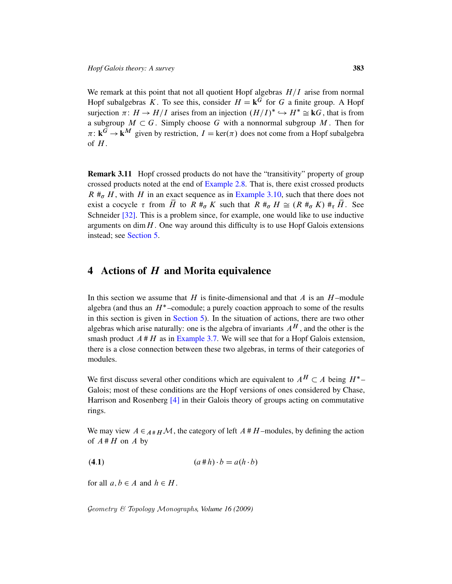<span id="page-16-1"></span>We remark at this point that not all quotient Hopf algebras  $H/I$  arise from normal Hopf subalgebras K. To see this, consider  $H = \mathbf{k}^G$  for G a finite group. A Hopf surjection  $\pi: H \to H/I$  arises from an injection  $(H/I)^* \hookrightarrow H^* \cong kG$ , that is from a subgroup  $M \subset G$ . Simply choose G with a nonnormal subgroup M. Then for  $\pi: \mathbf{k}^G \to \mathbf{k}^M$  [given by r](#page-8-0)estriction,  $I = \text{ker}(\pi)$  does not come from a Hopf subalgebra of  $H$ .

<span id="page-16-0"></span>Remark 3.11 Hopf crossed products do not have the "transitivity" property of group crossed products noted at the end of Example 2.8. That is, there exist crossed products  $R \#_{\sigma} H$ , with H in an exact sequence as in Example 3.10, such that there does not exist a cocycle  $\tau$  from  $\overline{H}$  to  $R \#_{\sigma} K$  such that  $R \#_{\sigma} H \cong (R \#_{\sigma} K) \#_{\tau} \overline{H}$ . See Schneider [32]. This is a problem since, for example, one would like to use inductive arguments on  $\dim H$ . One way around this difficulty is to use Hopf Galois extensions instead; see Section 5.

#### 4 [Action](#page-20-0)s of H and Morita equivalence

In this section we assume that H is finite-dimensional and that A is an  $H$ -module algebra (and thus an  $H^*$ -comodule; a purely coaction approach to some of the results in this section is given in Section 5). In the situation of actions, there are two other algebras which arise naturally: one is the algebra of invariants  $A^H$ , and the other is the smash product  $A \# H$  as in Example 3.7. We will see that for a Hopf Galois extension, t[her](#page-31-6)e is a close connection between these two algebras, in terms of their categories of modules.

We first discuss several other conditions which are equivalent to  $A^H \subset A$  being  $H^*$ -Galois; most of these conditions are the Hopf versions of ones considered by Chase, Harrison and Rosenberg [4] in their Galois theory of groups acting on commutative rings.

We may view  $A \in A#_H\mathcal{M}$ , the category of left  $A#_H$  –modules, by defining the action of  $A#H$  on A by

$$
(4.1) \qquad (a \# h) \cdot b = a(h \cdot b)
$$

for all  $a, b \in A$  and  $h \in H$ .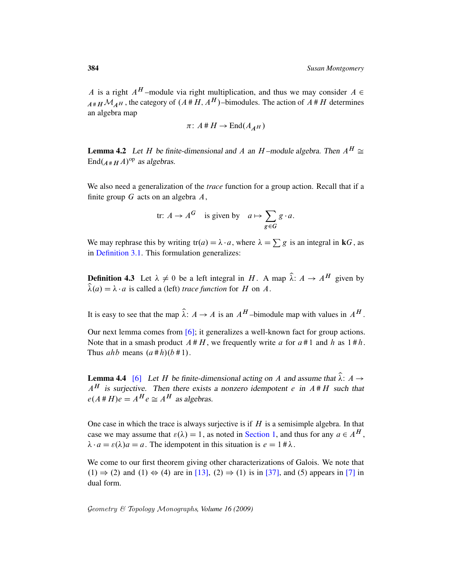A is a right  $A^H$ -module via right multiplication, and thus we may consider  $A \in$  $A_{A\#H}M_{AH}$ , the category of  $(A\#H, A^H)$ –bimodules. The action of  $A\#H$  determines an algebra map

$$
\pi\colon A\,\#\,H\to\mathrm{End}(A_{A^H})
$$

**Lemma 4.2** Let H be finite-dimensional and A an H-module algebra. Then  $A^H \cong$  $\text{End}(A \# H A)^{\text{op}}$  as algebras.

We also need a generalization of the *trace* function for a group action. Recall that if a finite group  $G$  acts on an algebra  $A$ ,

$$
\text{tr: } A \to A^G \quad \text{is given by} \quad a \mapsto \sum_{g \in G} g \cdot a.
$$

We may rephrase this by writing  $tr(a) = \lambda \cdot a$ , where  $\lambda = \sum g$  is an integral in **k**G, as in Definition 3.1. This formulation generalizes:

**Defin[itio](#page-31-7)n 4.3** Let  $\lambda \neq 0$  be a left integral in H. A map  $\hat{\lambda}$ :  $A \rightarrow A^H$  given by  $\hat{\lambda}(a) = \lambda \cdot a$  is called a (left) *trace function* for H on A.

It is easy to see that the map  $\hat{\lambda}$ :  $A \rightarrow A$  is an  $A^H$ -bimodule map with values in  $A^H$ .

Our next lemma comes from  $[6]$ ; it generalizes a well-known fact for group actions. Note that in a smash product  $A \# H$ , we frequently write a for  $a \# 1$  and h as  $1 \# h$ . Thus *ahb* means  $(a \# h)(b \# 1)$ .

**Lemma 4.4** [6] Let H be finite-dimensional acting on A and assume that  $\hat{\lambda}$ :  $A \rightarrow$  $A<sup>H</sup>$  is surjective. Th[en there ex](#page-1-0)ists a nonzero idempotent e in  $A \# H$  such that  $e(A \# H)e = A^H e \cong A^H$  as algebras.

One case [in w](#page-31-0)hich the trace is a[lwa](#page-33-1)ys surjective is if  $H$  i[s a](#page-31-4) semisimple algebra. In that case we may assume that  $\varepsilon(\lambda) = 1$ , as noted in Section 1, and thus for any  $a \in A^H$ ,  $\lambda \cdot a = \varepsilon(\lambda)a = a$ . The idempotent in this situation is  $e = 1 \# \lambda$ .

We come to our first theorem giving other characterizations of Galois. We note that  $(1) \Rightarrow (2)$  and  $(1) \Leftrightarrow (4)$  are in [13],  $(2) \Rightarrow (1)$  is in [37], and (5) appears in [7] in dual form.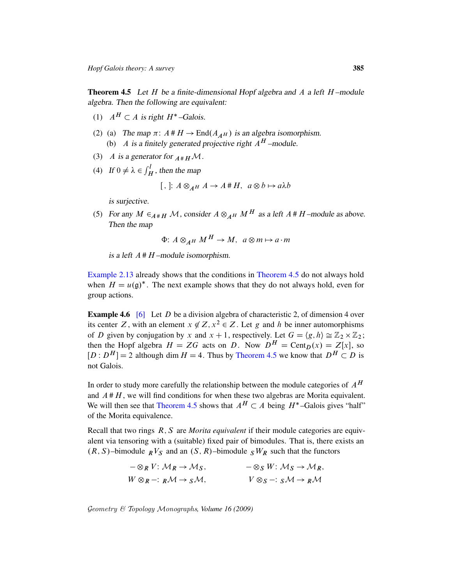<span id="page-18-0"></span>**Theorem 4.5** Let  $H$  be a finite-dimensional Hopf algebra and  $A$  a left  $H$ -module algebra. Then the following are equivalent:

- (1)  $A^H \subset A$  is right  $H^*$ -Galois.
- (2) (a) The map  $\pi$ :  $A \# H \to \text{End}(A_{\mathcal{A}H})$  is an algebra isomorphism. (b) A is a finitely generated projective right  $A^H$  –module.
- (3) A is a generator for  $_{A^*H}M$ .
- (4) If  $0 \neq \lambda \in \int_H^l$ , then the map

[ , ]: 
$$
A \otimes_{A^H} A \rightarrow A^H H
$$
,  $a \otimes b \mapsto a\lambda b$ 

is surjective.

(5) For any  $M \in_{A \# H} M$ , consider  $A \otimes_{A^H} M^H$  as a left  $A \# H$ -module as above. Then the map

$$
\Phi: A \otimes_{A^H} M^H \to M, \ a \otimes m \mapsto a \cdot m
$$

is a left  $A \# H$  –module isomorphism.

Example 2.13 already shows that the conditions in Theorem 4.5 do not always hold when  $H = u(\mathfrak{g})^*$ . The next example shows that they do not always hold, even for group actions.

**Example 4.6** [6] Let D be a division algebra of characteristic 2, of dimension 4 over its center Z, with an element  $x \notin Z, x^2 \in Z$ . Let g and h be inner automorphisms of D given by conjugation by x and  $x + 1$ , respectively. Let  $G = \langle g, h \rangle \cong \mathbb{Z}_2 \times \mathbb{Z}_2$ ; then the Hopf algebra  $H = ZG$  acts on D. Now  $D^H = \text{Cent}_D(x) = Z[x]$ , so  $[D: D<sup>H</sup>] = 2$  $[D: D<sup>H</sup>] = 2$  $[D: D<sup>H</sup>] = 2$  although dim  $H = 4$ . Thus by Theorem 4.5 we know that  $D<sup>H</sup> \subset D$  is not Galois.

In order to study more carefully the relationship between the module categories of  $A<sup>H</sup>$ and  $A \# H$ , we will find conditions for when these two algebras are Morita equivalent. We will then see that Theorem 4.5 shows that  $A^H \subset A$  being  $H^*$ -Galois gives "half" of the Morita equivalence.

Recall that two rings R; S are *Morita equivalent* if their module categories are equivalent via tensoring with a (suitable) fixed pair of bimodules. That is, there exists an  $(R, S)$ –bimodule  $R<sup>V</sup>S$  and an  $(S, R)$ –bimodule  $S<sup>W</sup>R$  such that the functors

| $-\otimes_R V: \mathcal{M}_R \to \mathcal{M}_S$ , | $-\otimes_S W: \mathcal{M}_S \to \mathcal{M}_R$  |
|---------------------------------------------------|--------------------------------------------------|
| $W \otimes_R -: R\mathcal{M} \to S\mathcal{M},$   | $V \otimes_S -: S \mathcal{M} \to R \mathcal{M}$ |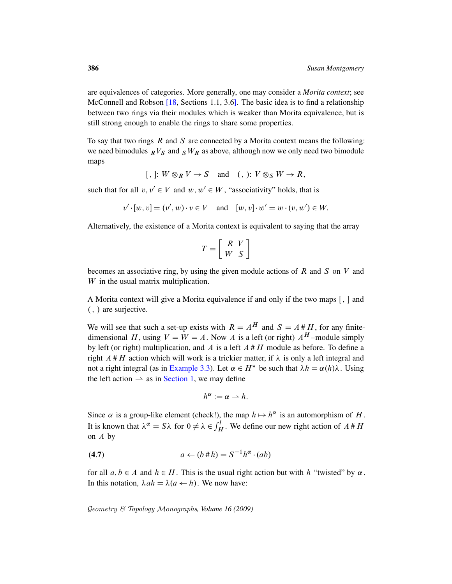are equivalences of categories. More generally, one may consider a *Morita context*; see McConnell and Robson [18, Sections 1.1, 3.6]. The basic idea is to find a relationship between two rings via their modules which is weaker than Morita equivalence, but is still strong enough to enable the rings to share some properties.

To say that two rings  $R$  and  $S$  are connected by a Morita context means the following: we need bimodules  $\mathbb{R}V_S$  and  $\mathbb{S}W_R$  as above, although now we only need two bimodule maps

[, ]: 
$$
W \otimes_R V \to S
$$
 and (, ):  $V \otimes_S W \to R$ ,

such that for all  $v, v' \in V$  and  $w, w' \in W$ , "associativity" holds, that is

$$
v' \cdot [w, v] = (v', w) \cdot v \in V
$$
 and  $[w, v] \cdot w' = w \cdot (v, w') \in W$ .

Alternatively, the existence of a Morita context is equivalent to saying that the array

$$
T = \left[ \begin{array}{cc} R & V \\ W & S \end{array} \right]
$$

becomes an associative ring, by using the given module actions of  $R$  and  $S$  on  $V$  and W in the usual matrix multiplication.

A Morita context will give a Morita equivalence if and only if the two maps  $[, ]$  and  $($ ,  $)$  are surjective.

[We will s](#page-1-0)ee that such a set-up exists with  $R = A^H$  and  $S = A \# H$ , for any finitedimensional H, using  $V = W = A$ . Now A is a left (or right)  $A<sup>H</sup>$  –module simply by left (or right) multiplication, and  $\vec{A}$  is a left  $\vec{A}$  #  $\vec{H}$  module as before. To define a right  $A \# H$  action which will work is a trickier matter, if  $\lambda$  is only a left integral and not a right integral (as in Example 3.3). Let  $\alpha \in H^*$  be such that  $\lambda h = \alpha(h)\lambda$ . Using the left action  $\rightarrow$  as in Section 1, we may define

$$
h^{\alpha}:=\alpha\rightarrow h.
$$

Since  $\alpha$  is a group-like element (check!), the map  $h \mapsto h^{\alpha}$  is an automorphism of H. It is known that  $\lambda^{\alpha} = S\lambda$  for  $0 \neq \lambda \in \int_H^l$ . We define our new right action of  $A \# H$ on  $A$  by

$$
(4.7) \t a \leftarrow (b \# h) = S^{-1} h^{\alpha} \cdot (ab)
$$

for all  $a, b \in A$  and  $h \in H$ . This is the usual right action but with h "twisted" by  $\alpha$ . In this notation,  $\lambda ah = \lambda (a \leftarrow h)$ . We now have: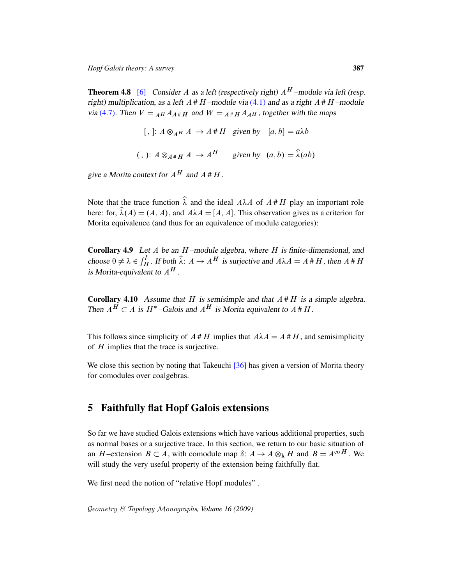**Theorem 4.8** [6] Consider A as a left (respectively right)  $A^H$ -module via left (resp. right) multiplication, as a left  $A \# H$ -module via (4.1) and as a right  $A \# H$ -module via (4.7). Then  $V =_{A^H} A_{A^*H}$  and  $W =_{A^*H} A_{A^H}$ , together with the maps

```
[, ]: A \otimes_{A^H} A \rightarrow A^H H given by [a, b] = a\lambda b(,): A \otimes_{A \# H} A \rightarrow A^H given by (a, b) = \hat{\lambda}(ab)
```
<span id="page-20-1"></span>give a Morita context for  $A^H$  and  $A \# H$ .

Note that the trace function  $\hat{\lambda}$  and the ideal  $A\lambda A$  of  $A \# H$  play an important role here: for,  $\hat{\lambda}(A) = (A, A)$ , and  $A\lambda A = [A, A]$ . This observation gives us a criterion for Morita equivalence (and thus for an equivalence of module categories):

Corollary 4.9 Let  $A$  be an  $H$ -module algebra, where  $H$  is finite-dimensional, and choose  $0 \neq \lambda \in \int_H^1$ . If both  $\hat{\lambda}: A \to A^H$  is surjective and  $A\lambda A = A \# H$ , then  $A \# H$ is Morita-equivalent to  $A^H$ .

**Corollary 4.10** Assume that H is semisimple and that  $A \# H$  is a simple algebra. Then  $A^H \subset A$  is  $H^*$ -Galois and  $A^H$  is Morita equivalent to  $A \# H$ .

<span id="page-20-0"></span>This follows since simplicity of  $A \# H$  implies that  $A \lambda A = A \# H$ , and semisimplicity of  $H$  implies that the trace is surjective.

We close this section by noting that Takeuchi [36] has given a version of Morita theory for comodules over coalgebras.

## 5 Faithfully flat Hopf Galois extensions

So far we have studied Galois extensions which have various additional properties, such as normal bases or a surjective trace. In this section, we return to our basic situation of an H-extension  $B \subset A$ , with comodule map  $\delta: A \to A \otimes_k H$  and  $B = A^{\text{co }H}$ . We will study the very useful property of the extension being faithfully flat.

We first need the notion of "relative Hopf modules".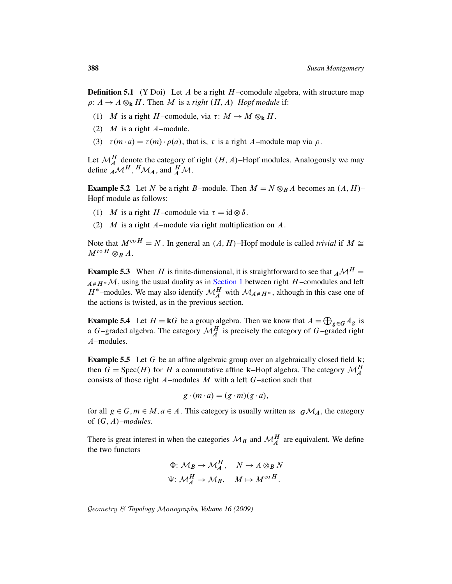**Definition 5.1** (Y Doi) Let A be a right  $H$ -comodule algebra, with structure map  $\rho: A \to A \otimes_{\mathbf{k}} H$ . Then M is a *right*  $(H, A)$ *–Hopf module* if:

- (1) M is a right H-comodule, via  $\tau: M \to M \otimes_k H$ .
- (2)  $M$  is a right  $A$ -module.
- (3)  $\tau(m \cdot a) = \tau(m) \cdot \rho(a)$ , that is,  $\tau$  is a right A–module map via  $\rho$ .

Let  $\mathcal{M}_{A}^{H}$  denote the category of right  $(H, A)$ –Hopf modules. Analogously we may define  $\mathcal{AM}^H$ ,  $^H\mathcal{M}_A$ , and  $^H_A\mathcal{M}$ .

**Example 5.2** Let N be a right B-module. Then  $M = N \otimes_B A$  becomes an  $(A, H)$ -Hopf module as follows:

- (1) M is a right H-comodule via  $\tau = id \otimes \delta$ .
- (2)  $M$  is a [right](#page-1-0)  $A$ -module via right multiplication on  $A$ .

Note that  $M^{co H} = N$ . In general an  $(A, H)$ –Hopf module is called *trivial* if  $M \cong$  $M^{\text{co }H}\otimes_B A$ .

**Example 5.3** When H is finite-dimensional, it is straightforward to see that  $_A \mathcal{M}^H =$  $A#H^*\mathcal{M}$ , using the usual duality as in Section 1 between right H-comodules and left  $H^*$ -modules. We may also identify  $\mathcal{M}_A^H$  with  $\mathcal{M}_{A^*H^*}$ , although in this case one of the actions is twisted, as in the previous section.

<span id="page-21-0"></span>**Example 5.4** Let  $H = kG$  be a group algebra. Then we know that  $A = \bigoplus_{g \in G} A_g$  is a G-graded algebra. The category  $\mathcal{M}_{A}^{H}$  is precisely the category of G-graded right A–modules.

**Example 5.5** Let G be an affine algebraic group over an algebraically closed field  $k$ ; then  $G = \text{Spec}(H)$  for H a commutative affine **k**–Hopf algebra. The category  $\mathcal{M}_{A}^{H}$ consists of those right  $A$ -modules  $M$  with a left  $G$ -action such that

$$
g \cdot (m \cdot a) = (g \cdot m)(g \cdot a),
$$

for all  $g \in G, m \in M, a \in A$ . This category is usually written as  $G\mathcal{M}_A$ , the category of  $(G, A)$ *–modules*.

There is great interest in when the categories  $\mathcal{M}_B$  and  $\mathcal{M}_A^H$  are equivalent. We define the two functors

$$
\Phi: \mathcal{M}_B \to \mathcal{M}_A^H, \quad N \mapsto A \otimes_B N
$$
  

$$
\Psi: \mathcal{M}_A^H \to \mathcal{M}_B, \quad M \mapsto M^{\text{co }H}.
$$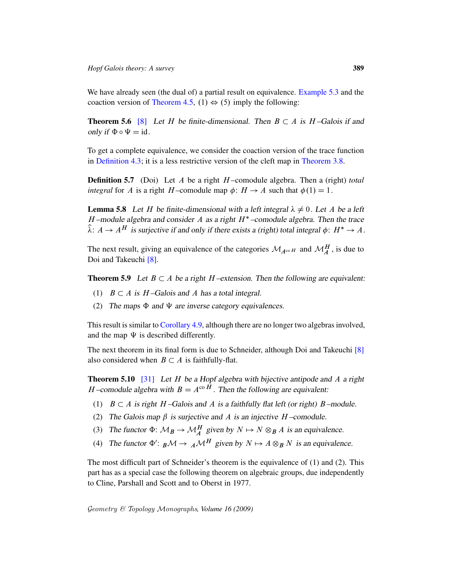We have already seen (the dual of) a partial result on equivalence. Example 5.3 and the coaction version of Theorem 4.5, (1)  $\Leftrightarrow$  (5) [imply the](#page-14-0) following:

**Theorem 5.6** [8] Let H be finite-dimensional. Then  $B \subset A$  is H-Galois if and only if  $\Phi \circ \Psi = id$ .

To get a complete equivalence, we consider the coaction version of the trace function in Definition 4.3; it is a less restrictive version of the cleft map in Theorem 3.8.

**Definition 5.7** (Doi) Let A be a right H-comodule algebra. Then a (right) *total integral* for A is a right H-comodule map  $\phi$ :  $H \rightarrow A$  such that  $\phi(1) = 1$ .

**Lemma 5.8** Let H be finite-dimensional with a left integral  $\lambda \neq 0$ . Let A be a left H-module algebra and consider A as a right  $H^*$ -comodule algebra. Then the trace  $\hat{\lambda}: A \to A^H$  is surjective if and only if there exists a (right) total integral  $\phi: H^* \to A$ .

The next result, giving an equivalence of the categories  $\mathcal{M}_{A^{\text{co }H}}$  and  $\mathcal{M}_{A}^{H}$ , is due to Doi and Takeuchi [8].

**[Theorem 5](#page-20-1).9** Let  $B \subset A$  be a right H-extension. Then the following are equivalent:

- (1)  $B \subset A$  is H-Galois and A has a total integral.
- (2) The maps  $\Phi$  and  $\Psi$  are inverse category equivalenc[es.](#page-31-8)

<span id="page-22-0"></span>This result is similar to Corollary 4.9, although there are no longer two algebras involved, and the map  $\Psi$  is described differently.

The next theorem in its final form is due to Schneider, although Doi and Takeuchi [8] also considered when  $B \subset A$  is faithfully-flat.

**Theorem 5.10** [31] Let H be a Hopf algebra with bijective antipode and A a right H-comodule algebra with  $B = A^{\rm co}$  H. Then the following are equivalent:

- (1)  $B \subset A$  is right H-Galois and A is a faithfully flat left (or right) B-module.
- (2) The Galois map  $\beta$  is surjective and A is an injective H-comodule.
- (3) The functor  $\Phi: \mathcal{M}_A^H$  given by  $N \mapsto N \otimes_B A$  is an equivalence.
- (4) The functor  $\Phi' : B \mathcal{M} \to A \mathcal{M}^H$  given by  $N \mapsto A \otimes_B N$  is an equivalence.

<span id="page-22-1"></span>The most difficult part of Schneider's theorem is the equivalence of (1) and (2). This part has as a special case the following theorem on algebraic groups, due independently to Cline, Parshall and Scott and to Oberst in 1977.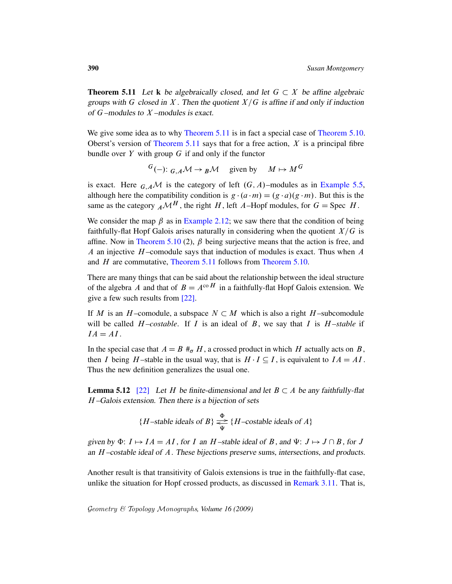**[Theorem 5](#page-22-1).11** Let k be algebraically closed, and let  $G \subset X$  be affine algebraic groups with G closed in X. Then the quotient  $X/G$  is affine if and only if induction of  $G$  –modules to  $X$  –modules is exact.

We give some idea as to why Theorem 5.11 is [in fact a specia](#page-21-0)l case of Theorem 5.10. Oberst's version of Theorem 5.11 says that for a free action,  $X$  is a principal fibre bundle over  $Y$  with group  $G$  if and only if the functor

$$
{}^{G}(-): {}_{G,A}\mathcal{M} \to {}_B\mathcal{M} \quad \text{given by} \quad M \mapsto M^G
$$

is exact. Here  $_{G,A}$ M is the category of left  $(G, A)$ –modules as in Example 5.5, [altho](#page-22-0)ugh here the compatibility condition is  $g \cdot (a \cdot m) = (g \cdot a)(g \cdot m)$ . But this is the [same as the cate](#page-22-1)gory  $_A \mathcal{M}^H$ , [the right](#page-22-0) H, left A–Hopf modules, for  $G =$  Spec H.

We consider the map  $\beta$  as in Example 2.12; we saw there that the condition of being faithfully-flat Hopf Galois arises naturally in considering when the quotient  $X/G$  is affine. Now in Theorem 5.10 (2),  $\beta$  being surjective means that the action is free, and A a[n inj](#page-32-5)ective  $H$ -comodule says that induction of modules is exact. Thus when  $A$ and H are commutative, Theorem 5.11 follows from Theorem 5.10.

There are many things that can be said about the relationship between the ideal structure of the algebra A and that of  $B = A^{\text{co }H}$  in a faithfully-flat Hopf Galois extension. We give a few such results from [22].

If M is an H-comodule, a subspace  $N \subset M$  which is also a right H-subcomodule will be called  $H$ *–costable*. If  $I$  is an ideal of  $B$ , we say that  $I$  is  $H$ *–stable* if  $IA = AI$ .

In the special case that  $A = B \#_{\sigma} H$ , a crossed product in which H actually acts on B, then I being H-stable in the usual way, that is  $H \cdot I \subseteq I$ , is equivalent to  $IA = AI$ . Thus the new definition generalizes the usual one.

**Lemma 5.12** [22] Let H be finite-dimensional and let  $B \subset A$  be any faithfully-flat H –Galois extension. Then there is a bijection of sets

{*H*-stable ideals of *B*} 
$$
\underset{\Psi}{\rightleftarrows}
$$
 {*H*-costable ideals of *A*}

given by  $\Phi: I \mapsto IA = AI$ , for I an H-stable ideal of B, and  $\Psi: J \mapsto J \cap B$ , for J an  $H$  –costable ideal of  $A$ . These bijections preserve sums, intersections, and products.

Another result is that transitivity of Galois extensions is true in the faithfully-flat case, unlike the situation for Hopf crossed products, as discussed in Remark 3.11. That is,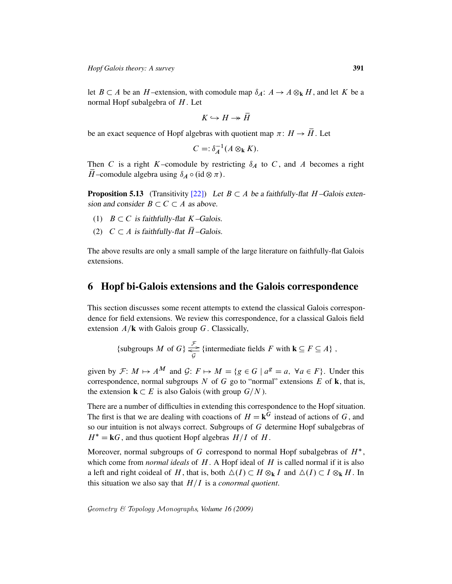let  $B \subset A$  be an H-extension, with comodule map  $\delta_A : A \to A \otimes_k H$ , and let K be a normal Hopf subalgebra of  $H$ . Let

$$
K \hookrightarrow H \twoheadrightarrow \overline{H}
$$

be an exact sequence of Hopf algebras with quotient map  $\pi$ :  $H \rightarrow \overline{H}$ . Let

$$
C = \mathop{\mathcal{S}}\nolimits_A^{-1}(A \otimes_{\mathbf{k}} K).
$$

Then C is a right K–comodule by restricting  $\delta_A$  to C, and A becomes a right  $\overline{H}$ -comodule algebra using  $\delta_A \circ (\mathrm{id} \otimes \pi)$ .

**Proposition 5.13** (Transitivity [22]) Let  $B \subset A$  be a faithfully-flat H-Galois extension and consider  $B \subset C \subset A$  as above.

- (1)  $B \subset C$  is faithfully-flat K–Galois.
- (2)  $C \subset A$  is faithfully-flat  $\overline{H}$  –Galois.

<span id="page-24-0"></span>The above results are only a small sample of the large literature on faithfully-flat Galois extensions.

#### 6 Hopf bi-Galois extensions and the Galois correspondence

This section discusses some recent attempts to extend the classical Galois correspondence for field extensions. We review this correspondence, for a classical Galois field extension  $A/\mathbf{k}$  with Galois group G. Classically,

{subgroups 
$$
M
$$
 of  $G$ }  $\underset{G}{\overset{\mathcal{F}}{\rightleftharpoons}}$  {intermediate fields  $F$  with  $\mathbf{k} \subseteq F \subseteq A$  },

given by  $\mathcal{F}: M \mapsto A^M$  and  $\mathcal{G}: F \mapsto M = \{g \in G \mid a^g = a, \forall a \in F\}$ . Under this correspondence, normal subgroups N of G go to "normal" extensions E of  $\bf{k}$ , that is, the extension  $\mathbf{k} \subset E$  is also Galois (with group  $G/N$ ).

There are a number of difficulties in extending this correspondence to the Hopf situation. The first is that we are dealing with coactions of  $H = \mathbf{k}^G$  instead of actions of G, and so our intuition is not always correct. Subgroups of G determine Hopf subalgebras of  $H^* = kG$ , and thus quotient Hopf algebras  $H/I$  of H.

Moreover, normal subgroups of G correspond to normal Hopf subalgebras of  $H^*$ , which come from *normal ideals* of H. A Hopf ideal of H is called normal if it is also a left and right coideal of H, that is, both  $\Delta(I) \subset H \otimes_{\bf k} I$  and  $\Delta(I) \subset I \otimes_{\bf k} H$ . In this situation we also say that  $H/I$  is a *conormal quotient*.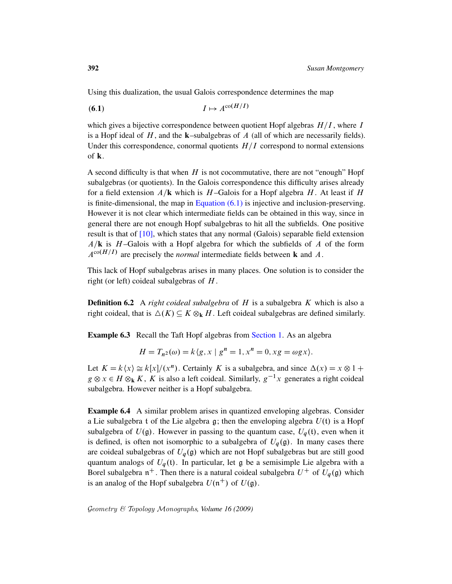<span id="page-25-0"></span>Using this dualization, the usual Galois correspondence determines the map

$$
(6.1) \tI \mapsto A^{\text{co}(H/I)}
$$

which gives a bijective correspondence between quotient Hopf algebras  $H/I$ , where I is a Hopf ideal of  $H$ , and the **k**–subalgebras of  $A$  (all of which are necessarily fields). Under th[is corresponden](#page-25-0)ce, conormal quotients  $H/I$  correspond to normal extensions of k.

A second difficulty is that when  $H$  is not cocommutative, there are not "enough" Hopf subalgebras (or quotients). In the Galois correspondence this difficulty arises already for a field extension  $A/\mathbf{k}$  which is H-Galois for a Hopf algebra H. At least if H is finite-dimensional, the map in Equation  $(6.1)$  is injective and inclusion-preserving. However it is not clear which intermediate fields can be obtained in this way, since in general there are not enough Hopf subalgebras to hit all the subfields. One positive result is that of  $[10]$ , which states that any normal (Galois) separable field extension  $A/\mathbf{k}$  is H-Galois with a Hopf algebra for which the subfields of A of the form  $A^{\text{co}}(H/I)$  are precisely the *normal* intermediate fields between **k** and A.

This lack of Hopf subalgebras arises in many places. One solution is to consider the right (or left) coideal sub[algebras of](#page-1-0)  $H$ .

**Definition 6.2** A *right coideal subalgebra* of H is a subalgebra K which is also a right coideal, that is  $\Delta(K) \subseteq K \otimes_k H$ . Left coideal subalgebras are defined similarly.

**Example 6.3** Recall the Taft Hopf algebras from Section 1. As an algebra

$$
H = T_{n^2}(\omega) = k \langle g, x \mid g^n = 1, x^n = 0, xg = \omega gx \rangle.
$$

Let  $K = k\langle x \rangle \cong k[x]/(x^n)$ . Certainly K is a subalgebra, and since  $\Delta(x) = x \otimes 1 +$  $g \otimes x \in H \otimes_{\bf k} K$ , K is also a left coideal. Similarly,  $g^{-1}x$  generates a right coideal subalgebra. However neither is a Hopf subalgebra.

Example 6.4 A similar problem arises in quantized enveloping algebras. Consider a Lie subalgebra t of the Lie algebra g; then the enveloping algebra  $U(t)$  is a Hopf subalgebra of  $U(\mathfrak{g})$ . However in passing to the quantum case,  $U_q(\mathfrak{t})$ , even when it is defined, is often not isomorphic to a subalgebra of  $U_q(\mathfrak{g})$ . In many cases there are coideal subalgebras of  $U_q(\mathfrak{g})$  which are not Hopf subalgebras but are still good quantum analogs of  $U_q(t)$ . In particular, let g be a semisimple Lie algebra with a Borel subalgebra  $n^+$ . Then there is a natural coideal subalgebra  $U^+$  of  $U_q(\mathfrak{g})$  which is an analog of the Hopf subalgebra  $U(\mathfrak{n}^+)$  of  $U(\mathfrak{g})$ .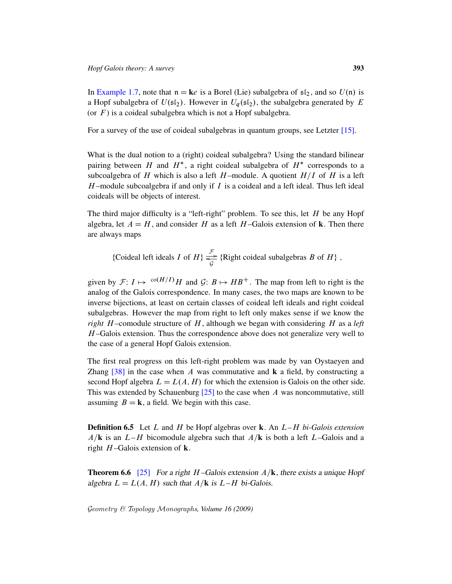In Example 1.7, note that  $n = ke$  is a Borel (Lie) subalgebra of  $s_1 i_2$ , and so  $U(n)$  is a Hopf subalgebra of  $U(\mathfrak{sl}_2)$ . However in  $U_q(\mathfrak{sl}_2)$ , the subalgebra generated by E (or  $F$ ) is a coideal subalgebra which is not a Hopf subalgebra.

For a survey of the use of coideal subalgebras in quantum groups, see Letzter [15].

What is the dual notion to a (right) coideal subalgebra? Using the standard bilinear pairing between H and  $H^*$ , a right coideal subalgebra of  $H^*$  corresponds to a subcoalgebra of H which is also a left H-module. A quotient  $H/I$  of H is a left  $H$ -module subcoalgebra if and only if I is a coideal and a left ideal. Thus left ideal coideals will be objects of interest.

The third major difficulty is a "left-right" problem. To see this, let  $H$  be any Hopf algebra, let  $A = H$ , and consider H as a left H-Galois extension of k. Then there are always maps

{Coideal left ideals *I* of  $H$ }  $\underset{G}{\overset{\mathcal{F}}{\rightleftharpoons}}$  {Right coideal subalgebras *B* of  $H$ },

given by  $\mathcal{F}: I \mapsto {}^{co(H/I)}H$  and  $\mathcal{G}: B \mapsto HB^+$ . The map from left to right is the analog of the Galois correspondence. In many cases, the two maps are known to be inverse bijections, at least on certain classes of coideal left ideals and right coideal subalgebras. However the map from right to left only makes sense if we know the *right* H –comodule structure of H , although we began with considering H as a *left*  $H$ -Galois extension. Thus the correspondence above does not generalize very well to the case of [a g](#page-32-6)eneral Hopf Galois extension.

The first real progress on this left-right problem was made by van Oystaeyen and Zhang  $[38]$  in the case when A was commutative and k a field, by constructing a second Hopf algebra  $L = L(A, H)$  for which the extension is Galois on the other side. This was extended by Schauenburg  $[25]$  to the case when A was noncommutative, still assuming  $B = k$ , a field. We begin with this case.

Definition 6.5 Let L and H be Hopf algebras over k. An L*–*H *bi-Galois extension*  $A/\mathbf{k}$  is an  $L-H$  bicomodule algebra such that  $A/\mathbf{k}$  is both a left L–Galois and a right  $H$ -Galois extension of **k**.

**Theorem 6.6** [25] For a right H-Galois extension  $A/k$ , there exists a unique Hopf algebra  $L = L(A, H)$  such that  $A/\mathbf{k}$  is  $L-H$  bi-Galois.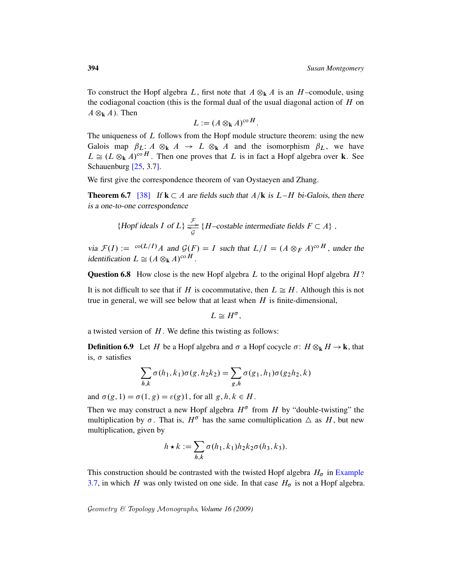To construct the Hopf algebra L, first note that  $A \otimes_k A$  is an H-comodule, using the codiagonal coaction (this is the formal dual of the usual diagonal action of  $H$  on  $A \otimes_{\bf k} A$ ). Then

$$
L := (A \otimes_{\mathbf{k}} A)^{\mathrm{co}\,H}.
$$

The uniqueness of  $L$  follows from the Hopf module structure theorem: using the new Galois map  $\beta_L: A \otimes_k A \to L \otimes_k A$  and the isomorphism  $\beta_L$ , we have  $L \cong (L \otimes_{\bf k} A)^{\rm co\,}H$ . Then one proves that L is in fact a Hopf algebra over **k**. See Schauenburg [25, 3.7].

We first give the correspondence theorem of van Oystaeyen and Zhang.

**Theorem 6.7** [38] If  $k \subset A$  are fields such that  $A/k$  is  $L-H$  bi-Galois, then there is a one-to-one correspondence

{Hopf ideals I of L} 
$$
\underset{\mathcal{G}}{\overset{\mathcal{F}}{\rightleftharpoons}}
$$
 {H–costable intermediate fields  $F \subset A$  },

via  $\mathcal{F}(I) := \int_0^{\infty} L(I) \, I$  and  $\mathcal{G}(F) = I$  such that  $L/I = (A \otimes_F A)^{\circ}$  and  $H$ , under the identification  $L \cong (A \otimes_{\mathbf{k}} A)^{co \, H}$ .

**Question 6.8** How close is the new Hopf algebra  $L$  to the original Hopf algebra  $H$ ?

<span id="page-27-0"></span>It is not difficult to see that if H is cocommutative, then  $L \cong H$ . Although this is not true in general, we will see below that at least when  $H$  is finite-dimensional,

$$
L \cong H^{\sigma},
$$

a twisted version of  $H$ . We define this twisting as follows:

**Definition 6.9** Let H be a Hopf algebra and  $\sigma$  a Hopf cocycle  $\sigma$ :  $H \otimes_k H \to k$ , that is,  $\sigma$  satisfies

$$
\sum_{h,k} \sigma(h_1, k_1) \sigma(g, h_2 k_2) = \sum_{g,h} \sigma(g_1, h_1) \sigma(g_2 h_2, k)
$$

and  $\sigma(g, 1) = \sigma(1, g) = \varepsilon(g)1$ , for all  $g, h, k \in H$ .

Then we may construct a new Hopf algebra  $H^{\sigma}$  from H by "double-twisting" the [multiplica](#page-14-1)tion by  $\sigma$ . That is,  $H^{\sigma}$  has the same comultiplication  $\Delta$  as H, but new multiplication, given by

$$
h \star k := \sum_{h,k} \sigma(h_1, k_1) h_2 k_2 \sigma(h_3, k_3).
$$

This construction should be contrasted with the twisted Hopf algebra  $H_{\sigma}$  in Example 3.7, in which H was only twisted on one side. In that case  $H_{\sigma}$  is not a Hopf algebra.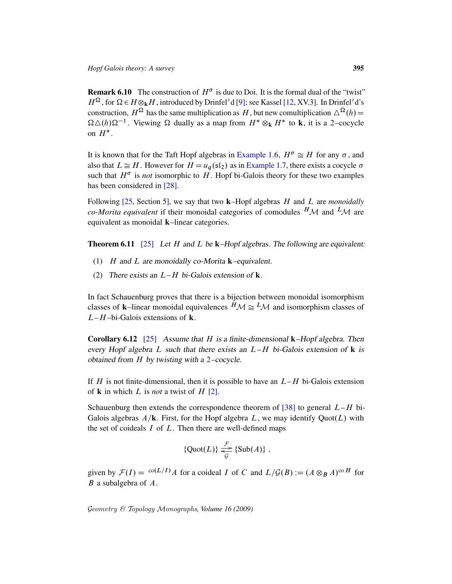**Remark 6.10** The construction of  $H^{\sigma}$  is due to Doi. It is the formal dual of the "twist"  $H^{\Omega}$ , for  $\Omega \in H \otimes_{\bf k} H$ [, introduced by](#page-4-0) Drinfel'd [9]; see Kassel [12, XV.3]. In Drinfel'd's construction,  $H^{\Omega}$  has th[e same multipl](#page-4-1)ication as H, but new comultiplication  $\Delta^{\Omega}(h)$  =  $\Omega \Delta(h) \Omega^{-1}$ . Viewing  $\Omega$  dually as a map from  $H^* \otimes_k H^*$  to **k**, it is a 2-cocycle [on](#page-32-7)  $H^*$ .

It is known that for the Taft Hopf algebras in Example 1.6,  $H^{\sigma} \cong H$  for any  $\sigma$ , and also that  $L \cong H$ . However for  $H = u_q(\mathfrak{sl}_2)$  as in Example 1.7, there exists a cocycle  $\sigma$ such that  $H^{\sigma}$  is *not* isomorphic to H. Hopf bi-Galois theory for these two examples has been considered in [28].

Following [25, Section 5], we say that two k–Hopf algebras H and L are *monoidally co-Morita equivalent* if their monoidal categories of comodules  $^H\mathcal{M}$  and  $^L\mathcal{M}$  are equivalent as monoidal k–linear categories.

**Theorem 6.11** [25] Let H and L be  $k$ -Hopf algebras. The following are equivalent:

- (1)  $H$  and  $L$  are monoidally co-Morita **k**–equivalent.
- (2) There exists an  $L-H$  bi-Galois extension of **k**.

In fact Schauenburg proves that there is a bijection between monoidal isomorphism classes of **k**–linear monoidal equivalences  $^H\mathcal{M} \cong {}^L\mathcal{M}$  and isomorphism classes of  $L-H$ –bi-Galois extensions of **k**.

**Corollary 6.[12](#page-31-9)** [25] Assume that H is a finite-dimensional **k**-Hopf algebra. Then every Hopf algebra L such that there exists an  $L-H$  bi-Galois extension of k is obtained from H by twisting with a [2](#page-33-3)–cocycle.

If H is not finite-dimensional, then it is possible to have an  $L-H$  bi-Galois extension of **k** in which L is *not* a twist of H  $[2]$ .

Schauenburg then extends the correspondence theorem of [38] to general  $L-H$  bi-Galois algebras  $A/\mathbf{k}$ . First, for the Hopf algebra L, we may identify Quot $(L)$  with the set of coideals  $I$  of  $L$ . Then there are well-defined maps

$$
{\lbrace \text{Quot}(L) \rbrace \underset{\mathcal{G}}{\underset{\longrightarrow}{\longrightarrow}} {\lbrace \text{Sub}(A) \rbrace} ,
$$

given by  $\mathcal{F}(I) = {}^{co}(L/I)A$  for a coideal I of C and  $L/\mathcal{G}(B) := (A \otimes_B A)^{co}H$  for  $B$  a subalgebra of  $A$ .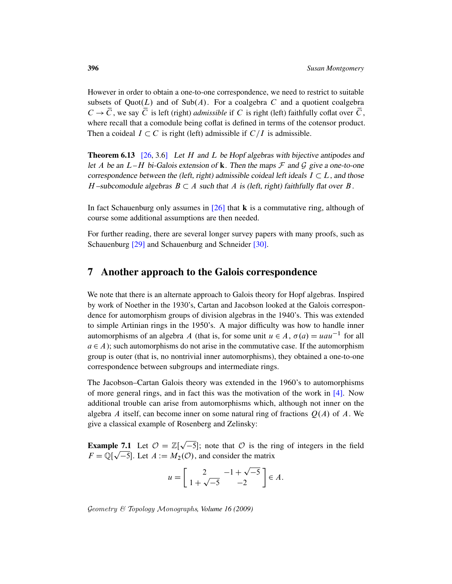However in order to obtain a one-to-one correspondence, we need to restrict to suitable subsets of Quot(L) and of Sub(A). For a coalgebra C and a quotient coalgebra  $C \rightarrow \overline{C}$ , we say  $\overline{C}$  is left (right) *admissible* if C is right (left) faithfully coflat over  $\overline{C}$ , where recall that a comodule being coflat is defined in terms of the cotensor product. Then a coideal  $I \subset C$  is right (left) admissible if  $C/I$  is admissible.

**Theorem 6.13** [\[2](#page-32-8)6, 3.6] Let H and L be Hopf algebras with bijective antipodes and let A be an  $L-H$  bi-Galois extension of **k**. Then the maps  $\mathcal F$  and  $\mathcal G$  give a one-to-one correspondence between the (left, right) admissible coideal left ideals  $I \subset L$ , and those H-subcomodule algebras  $B \subset A$  such that A is (left, right) faithfully flat over B.

<span id="page-29-0"></span>In fact Schauenburg only assumes in  $[26]$  that **k** is a commutative ring, although of course some additional assumptions are then needed.

For further reading, there are several longer survey papers with many proofs, such as Schauenburg [29] and Schauenburg and Schneider [30].

#### 7 Another approach to the Galois correspondence

We note that there is an alternate approach to Galois theory for Hopf algebras. Inspired by work of Noether in the 1930's, Cartan and Jacobson looked at the Galois correspondence for automorphism groups of division algebras in the 1940's. This was extended to simple Artinian rings in the 1950's. A major difficulty was how to handle inner automorphisms of an algebra A (that is, for some unit  $u \in A$ ,  $\sigma(a) = uau^{-1}$  for all  $a \in A$ ); such automorphisms do not arise in the com[mu](#page-31-6)tative case. If the automorphism group is outer (that is, no nontrivial inner automorphisms), they obtained a one-to-one correspondence between subgroups and intermediate rings.

The Jacobson–Cartan Galois theory was extended in the 1960's to automorphisms of more general rings, and in fact this was the motivation of the work in  $[4]$ . Now additional trouble can arise from automorphisms which, although not inner on the algebra A itself, can become inner on some natural ring of fractions  $Q(A)$  of A. We give a classical example of Rosenberg and Zelinsky:

**Example 7.1** Let  $\mathcal{O} = \mathbb{Z}[\sqrt{-5}]$ ; note that  $\mathcal{O}$  is the ring of integers in the field p  $F = \mathbb{Q}[\sqrt{-5}]$ . Let  $A := M_2(\mathcal{O})$ , and consider the matrix

$$
u = \left[ \begin{array}{cc} 2 & -1 + \sqrt{-5} \\ 1 + \sqrt{-5} & -2 \end{array} \right] \in A.
$$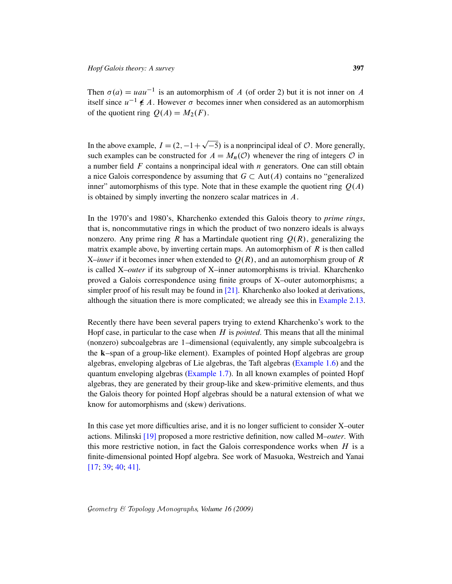Then  $\sigma(a) = uau^{-1}$  is an automorphism of A (of order 2) but it is not inner on A itself since  $u^{-1} \notin A$ . However  $\sigma$  becomes inner when considered as an automorphism of the quotient ring  $Q(A) = M_2(F)$ .

In the above example,  $I = (2, -1 + \sqrt{-5})$  is a nonprincipal ideal of  $O$ . More generally, such examples can be constructed for  $A = M_n(\mathcal{O})$  whenever the ring of integers  $\mathcal O$  in a number field  $F$  contains a nonprincipal ideal with  $n$  generators. One can still obtain a nice Galois correspondence by assuming that  $G \subset Aut(A)$  contains no "generalized" inner" automorphisms of this type. Note that in these example the quotient ring  $O(A)$ is obtained by simply inverting the nonzero scalar matrices in A.

p

In the 1970's and 1980's, Kharchenko extended this Galois theory to *prime rings*, that is, noncommutative rings in which the product of two nonzero ideals is always nonzero. Any pri[me](#page-32-9) ring R has a Martindale quotient ring  $Q(R)$ , generalizing the matrix example above, by inverting certain map[s. An automorp](#page-10-1)hism of  $R$  is then called X–*inner* if it becomes inner when extended to  $Q(R)$ , and an automorphism group of R is called X–*outer* if its subgroup of X–inner automorphisms is trivial. Kharchenko proved a Galois correspondence using finite groups of X–outer automorphisms; a simpler proof of his result may be found in [21]. Kharchenko also looked at derivations, although the situation there is more complicated; we already see this in Example 2.13.

Rece[ntly there have](#page-4-1) been several pape[rs](#page-4-0) [trying](#page-4-0) [to](#page-4-0) [ex](#page-4-0)tend Kharchenko's work to the Hopf case, in particular to the case when  $H$  is *pointed*. This means that all the minimal (nonzero) subcoalgebras are 1–dimensional (equivalently, any simple subcoalgebra is the k–span of a group-like element). Examples of pointed Hopf algebras are group algebras, enveloping algebras of Lie algebras, the Taft algebras (Example 1.6) and the quantum enveloping algebras (Example 1.7). In all known examples of pointed Hopf algebras, they are generated by their group-like and skew-primitive elements, and thus the Galois theory for pointed Hopf algebras should be a natural extension of what we know for automorphisms and (skew) derivations.

In this case yet more difficulties arise, and it is no longer sufficient to consider X–outer actions. Milinski [19] proposed a more restrictive definition, now called M–*outer*. With this more restrictive notion, in fact the Galois correspondence works when  $H$  is a finite-dimensional pointed Hopf algebra. See work of Masuoka, Westreich and Yanai [17; 39; 40; 41].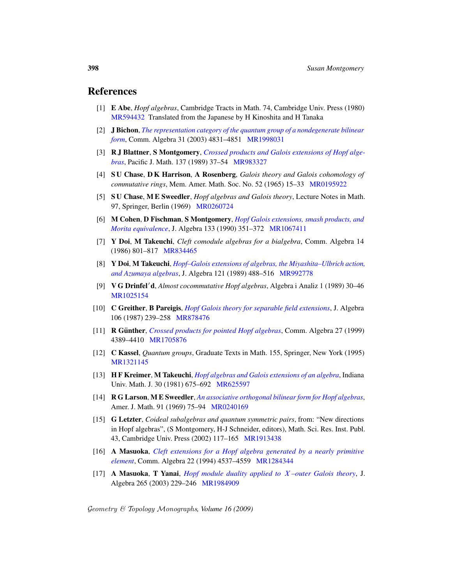#### <span id="page-31-9"></span><span id="page-31-6"></span><span id="page-31-5"></span>References

- [1] E Abe, *Hopf [algebras](http://www.ams.org/mathscinet-getitem?mr=983327)*[, Cambridge Tracts in Math. 74, Cam](http://projecteuclid.org/getRecord?id=euclid.pjm/1102650535)bridge Univ. Press (1980) MR594432 Translated from the Japanese by H Kinoshita and H Tanaka
- [2] J Bichon, *The representation category of [the quantum g](http://www.ams.org/mathscinet-getitem?mr=0195922)roup of a nondegenerate bilinear form*, Comm. Algebra 31 (2003) 4831–4851 MR1998031
- [3] R [J Blattner](http://www.ams.org/mathscinet-getitem?mr=0260724), S Montgomery, *Crossed products and Galois extensions of Hopf algebras*, Pacific J. Math. 137 (1989) 37–54 MR983327
- <span id="page-31-7"></span>[4] S U Chase, D K Harrison, [A Rosenbe](http://www.ams.org/mathscinet-getitem?mr=1067411)rg, *[Galois theory a](http://dx.doi.org/10.1016/0021-8693(90)90274-R)nd Galois cohomology of commutative rings*, Mem. Amer. Math. Soc. No. 52 (1965) 15–33 MR0195922
- <span id="page-31-4"></span>[\[5\]](http://www.ams.org/mathscinet-getitem?mr=834465) S U Chase, M E Sweedler, *Hopf algebras and Galois theory*, Lecture Notes in Math. 97, Springer, Berlin (1969) MR0260724
- <span id="page-31-8"></span>[\[6](http://dx.doi.org/10.1016/0021-8693(89)90079-3)] M Cohen, D Fischman, S M[ontgomery](http://www.ams.org/mathscinet-getitem?mr=992778), *[Hopf Galois exten](http://dx.doi.org/10.1016/0021-8693(89)90079-3)sions, smash products, and Morita equivalence*, J. Algebra 133 (1990) 351–372 MR1067411
- [7] Y Doi, M Takeuchi, *Cleft comodule algebras for a bialgebra*, Comm. Algebra 14 (1986) 801–817 MR834465
- <span id="page-31-1"></span>[8] [Y Doi](http://www.ams.org/mathscinet-getitem?mr=878476), M Takeuchi, *[Hopf–Galois extensions of a](http://dx.doi.org/10.1016/0021-8693(87)90029-9)lgebras, the Miyashita–Ulbrich action, and Azumaya algebras*, J. Algebra 121 (1989) 488–516 MR992778
- [\[9\]](http://www.ams.org/mathscinet-getitem?mr=1705876) V G Drinfel<sup>0</sup>d, *[Almost cocomm](http://dx.doi.org/10.1080/00927879908826704)utative Hopf algebras*, Algebra i Analiz 1 (1989) 30–46 MR1025154
- [10] C Greither, B Pareigis, *Hopf Galois theory for separable field extensions*, J. Algebra 106 (1987) 239–258 MR878476
- <span id="page-31-0"></span>[11] **R Günther,** *[Crosse](http://www.ams.org/mathscinet-getitem?mr=625597)[d products for pointed Hopf al](http://dx.doi.org/10.1512/iumj.1981.30.30052)gebras*, Comm. Algebra 27 (1999) 4389–4410 MR1705876
- <span id="page-31-3"></span>[12] C Kassel, *[Quantum](http://www.ams.org/mathscinet-getitem?mr=0240169) groups*[, Graduate Texts in Math. 155, S](http://dx.doi.org/10.2307/2373270)pringer, New York (1995) MR1321145
- [13] H F Kreimer, M Takeuchi, *Hopf algebras and Galois extensions of an algebra*, Indiana Univ. Math. J. 30 [\(1981\) 675–6](http://www.ams.org/mathscinet-getitem?mr=1913438)92 MR625597
- <span id="page-31-2"></span>[14] R G Larson, M E Sweedler, *[An associative orthogonal bilin](http://dx.doi.org/10.1080/00927879408825086)ear form for Hopf algebras*, Amer. J. Math. 91 (19[69\) 75–94](http://www.ams.org/mathscinet-getitem?mr=1284344) MR0240169
- [15] G Letzter, *[Coideal subalgebras and quantum symmetric](http://dx.doi.org/10.1016/S0021-8693(03)00130-3) pairs*, from: "New directions in [Hopf algebras"](http://www.ams.org/mathscinet-getitem?mr=1984909), (S Montgomery, H-J Schneider, editors), Math. Sci. Res. Inst. Publ. 43, Cambridge Univ. Press (2002) 117–165 MR1913438
- [16] A Masuoka, *Cleft extensions for a Hopf algebra generated by a nearly primitive element*, Comm. Algebra 22 (1994) 4537–4559 MR1284344
- [17] A Masuoka, T Yanai, *Hopf module duality applied to* X *–outer Galois theory*, J. Algebra 265 (2003) 229–246 MR1984909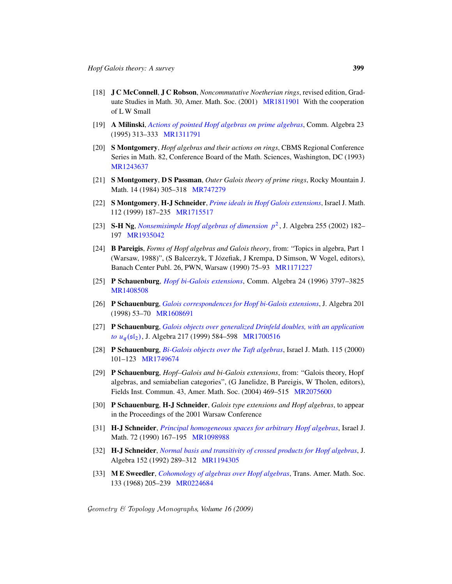- <span id="page-32-2"></span>[18] J C McConnell, J C Robson, *Noncommutative Noetherian rings*, revised edition, Graduate Studies in Math. 30, Amer. Math. Soc. (2001) MR1811901 With the cooperation of L W Small
- <span id="page-32-9"></span>[19] A Milinski, *Actions of pointed Hopf algebras on prime algebras*, Comm. Algebra 23 [\(1995\) 313–3](http://www.ams.org/mathscinet-getitem?mr=747279)33 MR1311791
- <span id="page-32-5"></span>[20] S Montgomery, *Hopf algebras and their actions on rings*, CBMS Regional Conference Series [in Math. 82, Conference Board of the](http://dx.doi.org/10.1007/BF02773482) Math. Sciences, Washington, DC (1993) [MR1243](http://www.ams.org/mathscinet-getitem?mr=1715517)637
- <span id="page-32-0"></span>[21] [S Montgomery](http://dx.doi.org/10.1016/S0021-8693(02)00139-4), D S Passman, *Outer Galois theory of prime rings*, Rocky Mountain J. Math. 14 (1984) 305–318 MR747279
- <span id="page-32-1"></span>[22] S Montgomery, H-J Schneider, *Prime ideals in Hopf Galois extensions*, Israel J. Math. 112 (1999) 187–235 MR17[15517](http://www.ams.org/mathscinet-getitem?mr=1171227)
- <span id="page-32-6"></span>[23] S-H Ng, *Nonsemisimple Hopf algebras of dimension* p 2 , J. Algebra 255 (2002) 182– 197 [MR1935042](http://dx.doi.org/10.1080/00927879608825788)
- <span id="page-32-8"></span>[24] B Pareigis, *Forms of Hopf algebras and Galois theory*, from: "Topics in algebra, Part 1 [\(Warsaw, 1988\)", \(S Balcerzyk, T Jozefiak,](http://dx.doi.org/10.1006/jabr.1997.7237) J Krempa, D Simson, W Vogel, editors), ´ [B](http://www.ams.org/mathscinet-getitem?mr=1608691)anach Center Publ. 26, PWN, Warsaw (1990) 75–93 MR1171227
- <span id="page-32-3"></span>[25] P Schauenburg, *[Hopf bi-Galois extensions](http://dx.doi.org/10.1006/jabr.1998.7814)*, Comm. Algebra 24 (1996) 3797–3825 MR1408508
- <span id="page-32-7"></span>[\[26](http://www.ams.org/mathscinet-getitem?mr=1749674)] [P Schauenburg](http://dx.doi.org/10.1007/BF02810582), *Galois correspondences for Hopf bi-Galois extensions*, J. Algebra 201 (1998) 53–70 MR1608691
- [27] P Schauenburg, *Galois objects over generalized Drinfeld doubles, with an application to*  $u_q(\mathfrak{sl}_2)$ , J. Algebra 217 (1999) [584–598](http://www.ams.org/mathscinet-getitem?mr=2075600) MR1700516
- [28] P Schauenburg, *Bi-Galois objects over the Taft algebras*, Israel J. Math. 115 (2000) 101–123 MR1749674
- [29] P Schauenburg, *Hopf–Galois and bi-Galois extensions*, from: "Galois theory, Hopf [algebras, and semiabelian categories", \(G Janelid](http://dx.doi.org/10.1007/BF02764619)ze, B Pareigis, W Tholen, editors), [Fields Inst. Co](http://www.ams.org/mathscinet-getitem?mr=1098988)mmun. 43, Amer. Math. Soc. (2004) 469–515 MR2075600
- <span id="page-32-4"></span>[30] P Schauenburg, H-J Schneider, *[Galois type extensions a](http://dx.doi.org/10.1016/0021-8693(92)90034-J)nd Hopf algebras*, to appear in t[he Proceeding](http://www.ams.org/mathscinet-getitem?mr=1194305)s of the 2001 Warsaw Conference
- [31] H-J Schneider, *[Principal homoge](http://dx.doi.org/10.2307/1994939)neous spaces for arbitrary Hopf algebras*, Israel J. [Math. 72](http://www.ams.org/mathscinet-getitem?mr=0224684) (1990) 167–195 MR1098988
- [32] H-J Schneider, *Normal basis and transitivity of crossed products for Hopf algebras*, J. Algebra 152 (1992) 289–312 MR1194305
- [33] M E Sweedler, *Cohomology of algebras over Hopf algebras*, Trans. Amer. Math. Soc. 133 (1968) 205–239 MR0224684